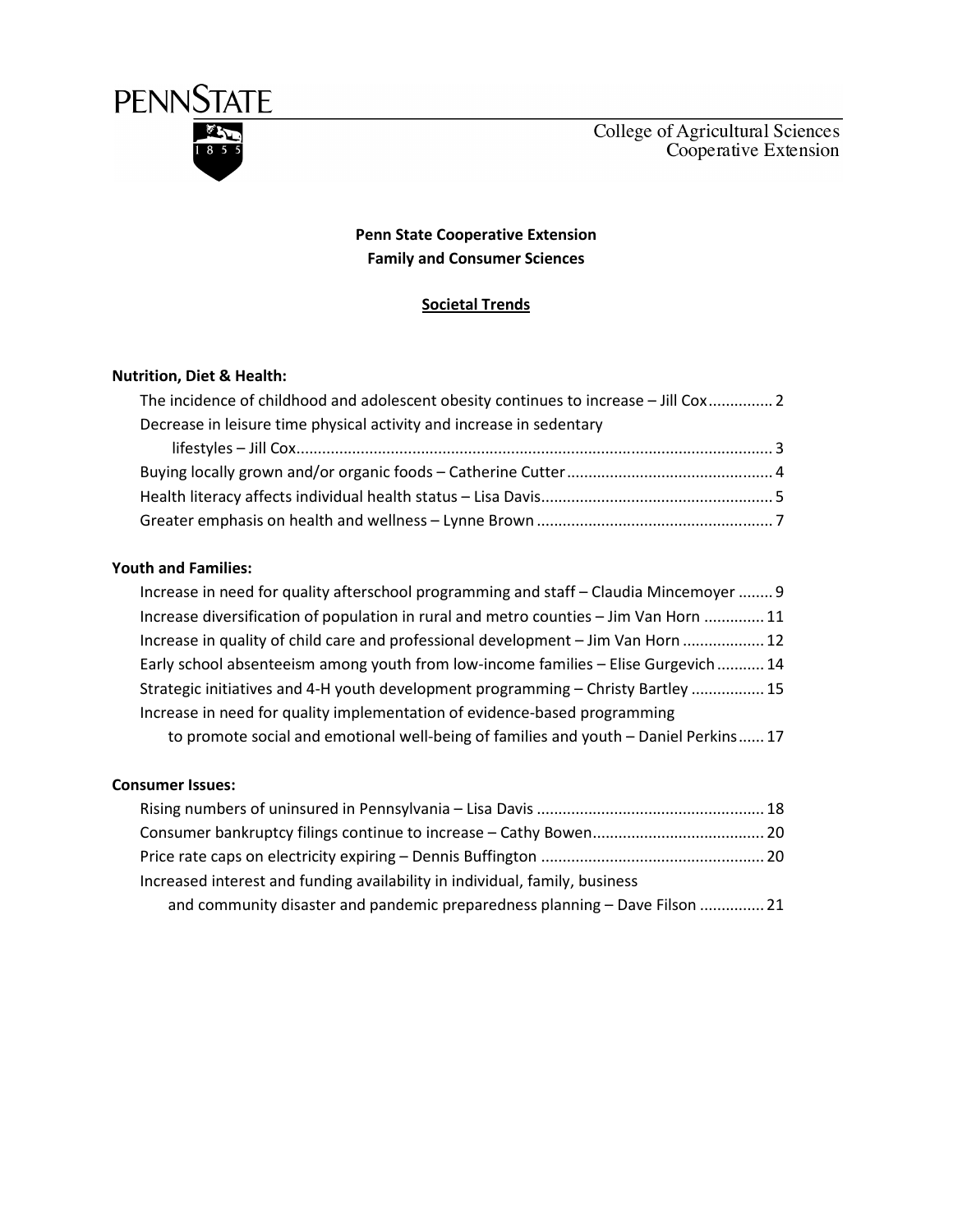

## Penn State Cooperative Extension Family and Consumer Sciences

## Societal Trends

### Nutrition, Diet & Health:

| The incidence of childhood and adolescent obesity continues to increase – Jill Cox 2 |  |
|--------------------------------------------------------------------------------------|--|
| Decrease in leisure time physical activity and increase in sedentary                 |  |
|                                                                                      |  |
|                                                                                      |  |
|                                                                                      |  |
|                                                                                      |  |

## Youth and Families:

| Increase in need for quality afterschool programming and staff – Claudia Mincemoyer  9 |
|----------------------------------------------------------------------------------------|
| Increase diversification of population in rural and metro counties - Jim Van Horn  11  |
| Increase in quality of child care and professional development – Jim Van Horn  12      |
| Early school absenteeism among youth from low-income families - Elise Gurgevich  14    |
| Strategic initiatives and 4-H youth development programming - Christy Bartley  15      |
| Increase in need for quality implementation of evidence-based programming              |
| to promote social and emotional well-being of families and youth - Daniel Perkins 17   |

#### Consumer Issues:

| Increased interest and funding availability in individual, family, business |  |
|-----------------------------------------------------------------------------|--|
| and community disaster and pandemic preparedness planning - Dave Filson  21 |  |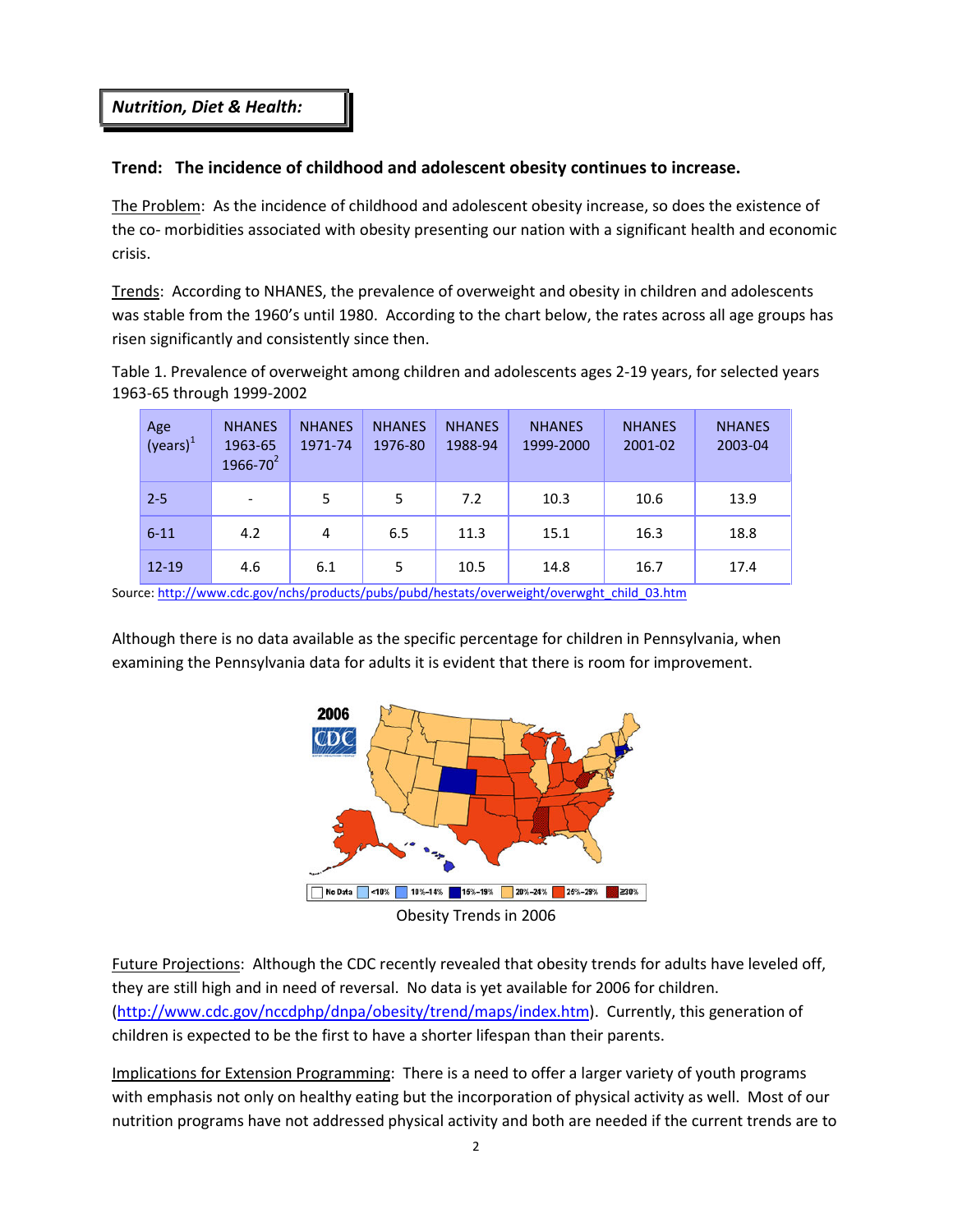Nutrition, Diet & Health:

## Trend: The incidence of childhood and adolescent obesity continues to increase.

The Problem: As the incidence of childhood and adolescent obesity increase, so does the existence of the co- morbidities associated with obesity presenting our nation with a significant health and economic crisis.

Trends: According to NHANES, the prevalence of overweight and obesity in children and adolescents was stable from the 1960's until 1980. According to the chart below, the rates across all age groups has risen significantly and consistently since then.

Table 1. Prevalence of overweight among children and adolescents ages 2-19 years, for selected years 1963-65 through 1999-2002

| Age<br>(years) <sup>1</sup> | <b>NHANES</b><br>1963-65<br>$1966 - 70^2$ | <b>NHANES</b><br>1971-74 | <b>NHANES</b><br>1976-80 | <b>NHANES</b><br>1988-94 | <b>NHANES</b><br>1999-2000 | <b>NHANES</b><br>2001-02 | <b>NHANES</b><br>2003-04 |
|-----------------------------|-------------------------------------------|--------------------------|--------------------------|--------------------------|----------------------------|--------------------------|--------------------------|
| $2 - 5$                     |                                           | 5                        | 5                        | 7.2                      | 10.3                       | 10.6                     | 13.9                     |
| $6 - 11$                    | 4.2                                       | 4                        | 6.5                      | 11.3                     | 15.1                       | 16.3                     | 18.8                     |
| $12 - 19$                   | 4.6                                       | 6.1                      | 5                        | 10.5                     | 14.8                       | 16.7                     | 17.4                     |

Source: http://www.cdc.gov/nchs/products/pubs/pubd/hestats/overweight/overwght\_child\_03.htm

Although there is no data available as the specific percentage for children in Pennsylvania, when examining the Pennsylvania data for adults it is evident that there is room for improvement.



Obesity Trends in 2006

Future Projections: Although the CDC recently revealed that obesity trends for adults have leveled off, they are still high and in need of reversal. No data is yet available for 2006 for children. (http://www.cdc.gov/nccdphp/dnpa/obesity/trend/maps/index.htm). Currently, this generation of children is expected to be the first to have a shorter lifespan than their parents.

Implications for Extension Programming: There is a need to offer a larger variety of youth programs with emphasis not only on healthy eating but the incorporation of physical activity as well. Most of our nutrition programs have not addressed physical activity and both are needed if the current trends are to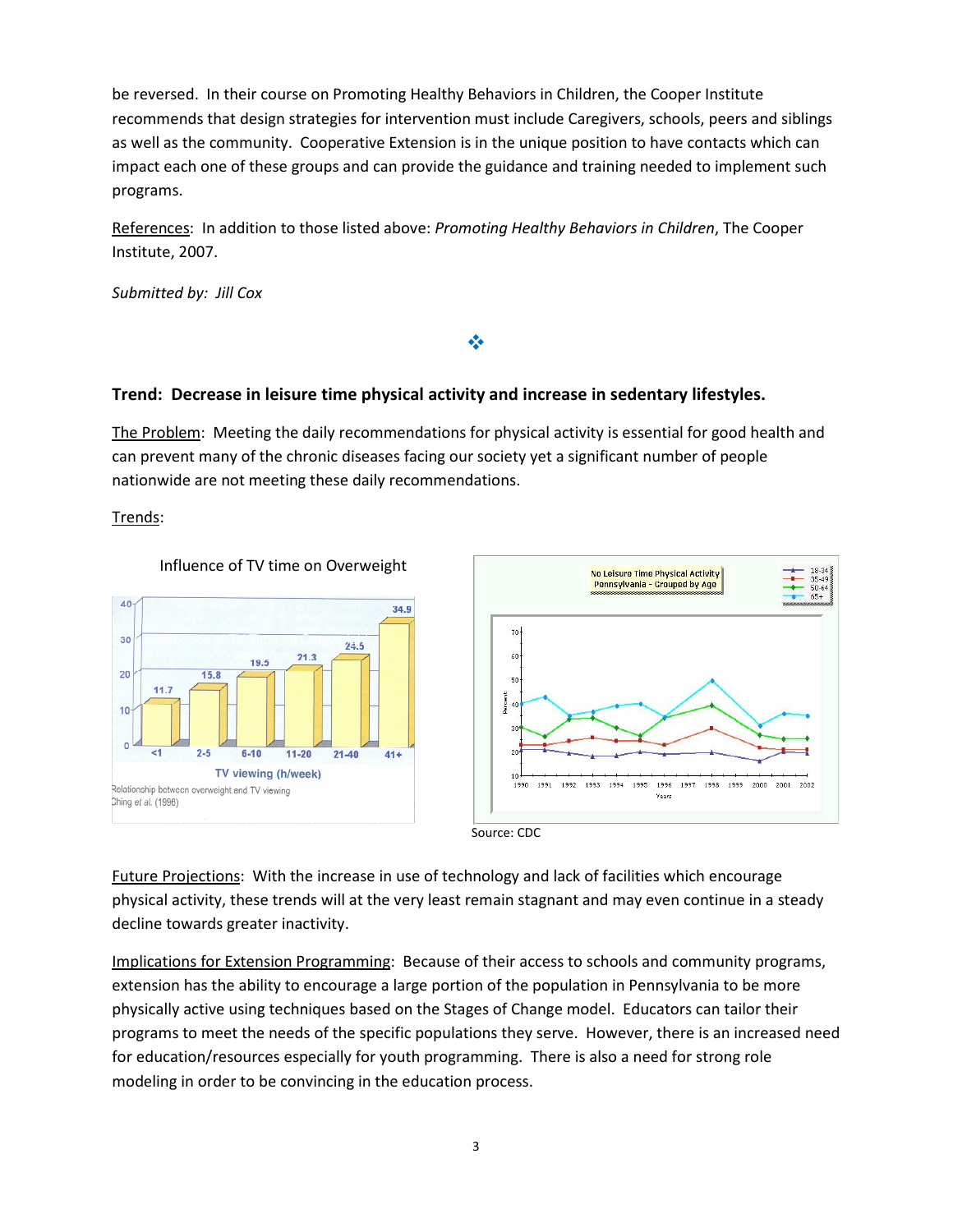be reversed. In their course on Promoting Healthy Behaviors in Children, the Cooper Institute recommends that design strategies for intervention must include Caregivers, schools, peers and siblings as well as the community. Cooperative Extension is in the unique position to have contacts which can impact each one of these groups and can provide the guidance and training needed to implement such programs.

References: In addition to those listed above: Promoting Healthy Behaviors in Children, The Cooper Institute, 2007.

Submitted by: Jill Cox

## Trend: Decrease in leisure time physical activity and increase in sedentary lifestyles.

The Problem: Meeting the daily recommendations for physical activity is essential for good health and can prevent many of the chronic diseases facing our society yet a significant number of people nationwide are not meeting these daily recommendations.

参

Trends:





Source: CDC

Future Projections: With the increase in use of technology and lack of facilities which encourage physical activity, these trends will at the very least remain stagnant and may even continue in a steady decline towards greater inactivity.

Implications for Extension Programming: Because of their access to schools and community programs, extension has the ability to encourage a large portion of the population in Pennsylvania to be more physically active using techniques based on the Stages of Change model. Educators can tailor their programs to meet the needs of the specific populations they serve. However, there is an increased need for education/resources especially for youth programming. There is also a need for strong role modeling in order to be convincing in the education process.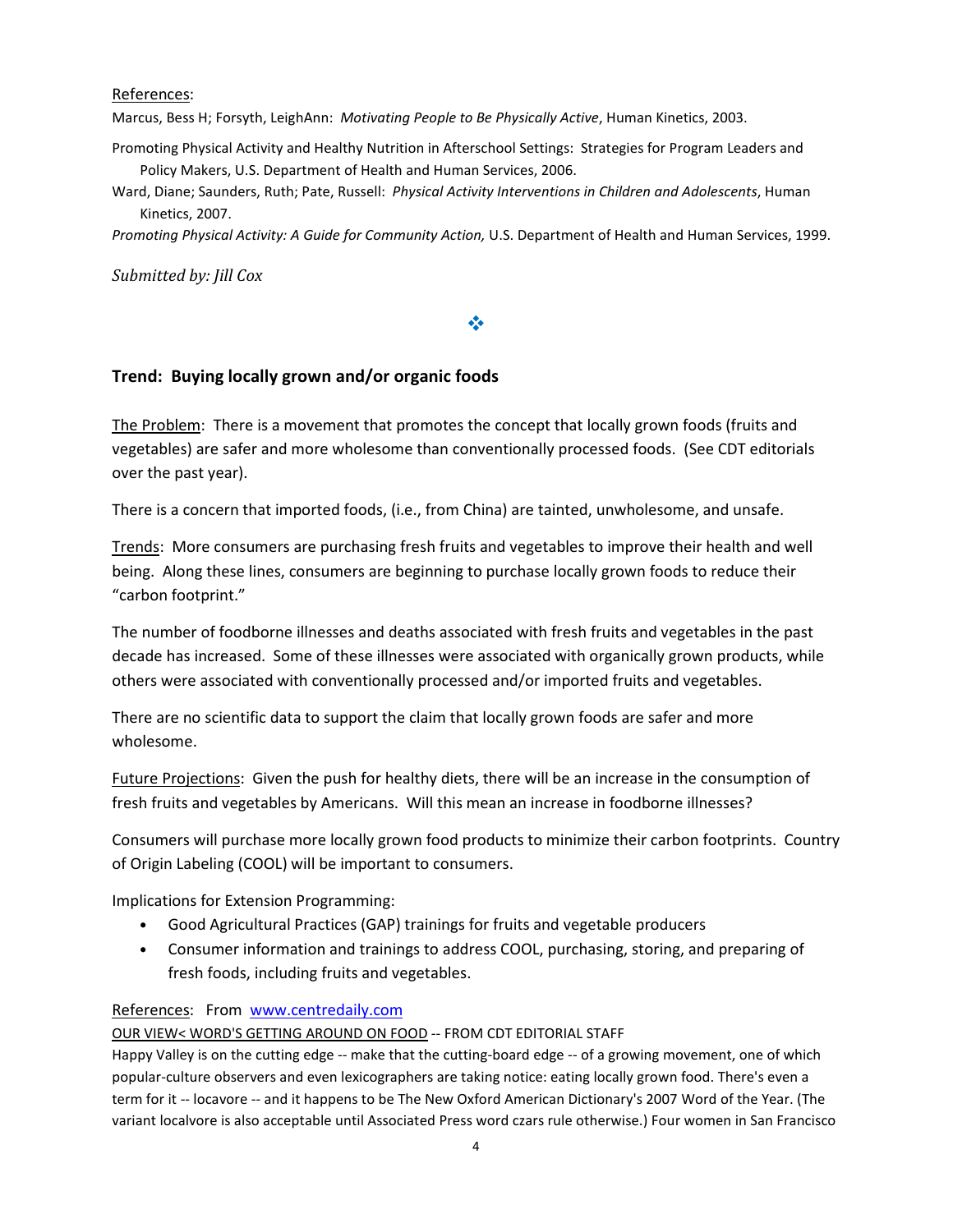References:

Marcus, Bess H; Forsyth, LeighAnn: Motivating People to Be Physically Active, Human Kinetics, 2003.

Promoting Physical Activity and Healthy Nutrition in Afterschool Settings: Strategies for Program Leaders and Policy Makers, U.S. Department of Health and Human Services, 2006.

Ward, Diane; Saunders, Ruth; Pate, Russell: Physical Activity Interventions in Children and Adolescents, Human Kinetics, 2007.

Promoting Physical Activity: A Guide for Community Action, U.S. Department of Health and Human Services, 1999.

Submitted by: Jill Cox

## ❖

## Trend: Buying locally grown and/or organic foods

The Problem: There is a movement that promotes the concept that locally grown foods (fruits and vegetables) are safer and more wholesome than conventionally processed foods. (See CDT editorials over the past year).

There is a concern that imported foods, (i.e., from China) are tainted, unwholesome, and unsafe.

Trends: More consumers are purchasing fresh fruits and vegetables to improve their health and well being. Along these lines, consumers are beginning to purchase locally grown foods to reduce their "carbon footprint."

The number of foodborne illnesses and deaths associated with fresh fruits and vegetables in the past decade has increased. Some of these illnesses were associated with organically grown products, while others were associated with conventionally processed and/or imported fruits and vegetables.

There are no scientific data to support the claim that locally grown foods are safer and more wholesome.

Future Projections: Given the push for healthy diets, there will be an increase in the consumption of fresh fruits and vegetables by Americans. Will this mean an increase in foodborne illnesses?

Consumers will purchase more locally grown food products to minimize their carbon footprints. Country of Origin Labeling (COOL) will be important to consumers.

Implications for Extension Programming:

- Good Agricultural Practices (GAP) trainings for fruits and vegetable producers
- Consumer information and trainings to address COOL, purchasing, storing, and preparing of fresh foods, including fruits and vegetables.

### References: From www.centredaily.com

### OUR VIEW< WORD'S GETTING AROUND ON FOOD -- FROM CDT EDITORIAL STAFF

Happy Valley is on the cutting edge -- make that the cutting-board edge -- of a growing movement, one of which popular-culture observers and even lexicographers are taking notice: eating locally grown food. There's even a term for it -- locavore -- and it happens to be The New Oxford American Dictionary's 2007 Word of the Year. (The variant localvore is also acceptable until Associated Press word czars rule otherwise.) Four women in San Francisco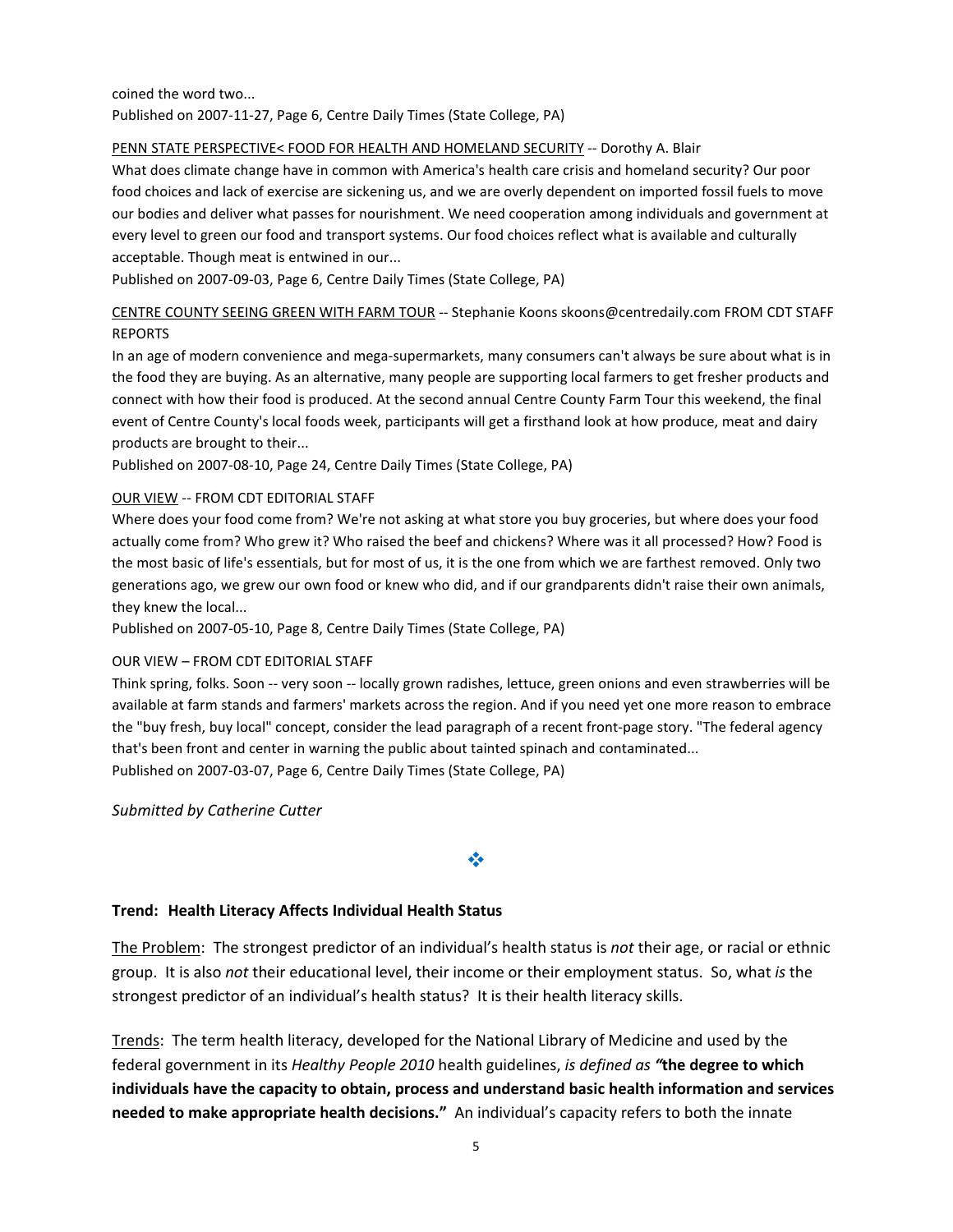#### coined the word two... Published on 2007-11-27, Page 6, Centre Daily Times (State College, PA)

#### PENN STATE PERSPECTIVE< FOOD FOR HEALTH AND HOMELAND SECURITY -- Dorothy A. Blair

What does climate change have in common with America's health care crisis and homeland security? Our poor food choices and lack of exercise are sickening us, and we are overly dependent on imported fossil fuels to move our bodies and deliver what passes for nourishment. We need cooperation among individuals and government at every level to green our food and transport systems. Our food choices reflect what is available and culturally acceptable. Though meat is entwined in our...

Published on 2007-09-03, Page 6, Centre Daily Times (State College, PA)

CENTRE COUNTY SEEING GREEN WITH FARM TOUR -- Stephanie Koons skoons@centredaily.com FROM CDT STAFF REPORTS

In an age of modern convenience and mega-supermarkets, many consumers can't always be sure about what is in the food they are buying. As an alternative, many people are supporting local farmers to get fresher products and connect with how their food is produced. At the second annual Centre County Farm Tour this weekend, the final event of Centre County's local foods week, participants will get a firsthand look at how produce, meat and dairy products are brought to their...

Published on 2007-08-10, Page 24, Centre Daily Times (State College, PA)

#### OUR VIEW -- FROM CDT EDITORIAL STAFF

Where does your food come from? We're not asking at what store you buy groceries, but where does your food actually come from? Who grew it? Who raised the beef and chickens? Where was it all processed? How? Food is the most basic of life's essentials, but for most of us, it is the one from which we are farthest removed. Only two generations ago, we grew our own food or knew who did, and if our grandparents didn't raise their own animals, they knew the local...

Published on 2007-05-10, Page 8, Centre Daily Times (State College, PA)

#### OUR VIEW – FROM CDT EDITORIAL STAFF

Think spring, folks. Soon -- very soon -- locally grown radishes, lettuce, green onions and even strawberries will be available at farm stands and farmers' markets across the region. And if you need yet one more reason to embrace the "buy fresh, buy local" concept, consider the lead paragraph of a recent front-page story. "The federal agency that's been front and center in warning the public about tainted spinach and contaminated... Published on 2007-03-07, Page 6, Centre Daily Times (State College, PA)

Submitted by Catherine Cutter

## ❖

### Trend: Health Literacy Affects Individual Health Status

The Problem: The strongest predictor of an individual's health status is not their age, or racial or ethnic group. It is also not their educational level, their income or their employment status. So, what is the strongest predictor of an individual's health status? It is their health literacy skills.

Trends: The term health literacy, developed for the National Library of Medicine and used by the federal government in its Healthy People 2010 health guidelines, is defined as "the degree to which individuals have the capacity to obtain, process and understand basic health information and services needed to make appropriate health decisions." An individual's capacity refers to both the innate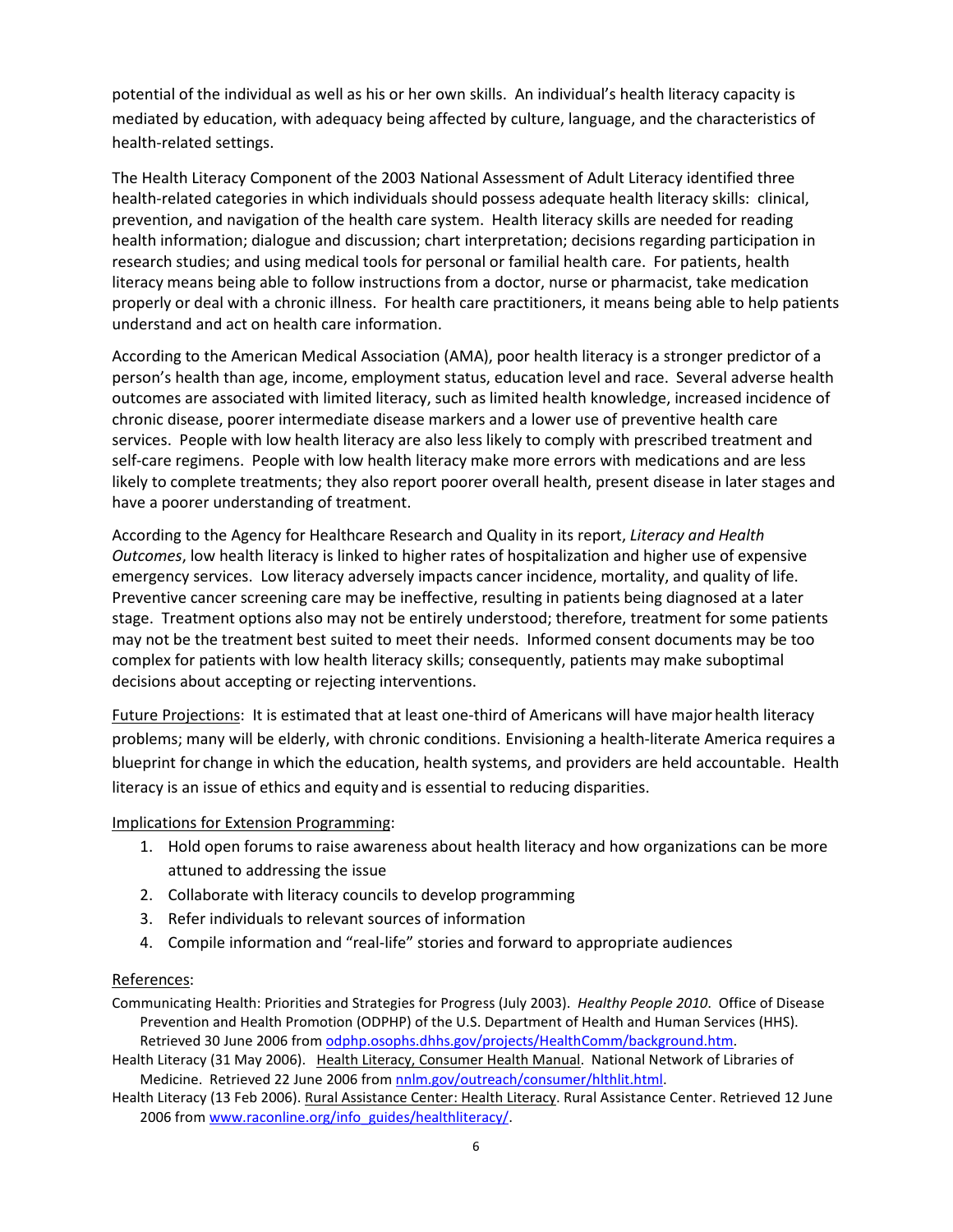potential of the individual as well as his or her own skills. An individual's health literacy capacity is mediated by education, with adequacy being affected by culture, language, and the characteristics of health-related settings.

The Health Literacy Component of the 2003 National Assessment of Adult Literacy identified three health-related categories in which individuals should possess adequate health literacy skills: clinical, prevention, and navigation of the health care system. Health literacy skills are needed for reading health information; dialogue and discussion; chart interpretation; decisions regarding participation in research studies; and using medical tools for personal or familial health care. For patients, health literacy means being able to follow instructions from a doctor, nurse or pharmacist, take medication properly or deal with a chronic illness. For health care practitioners, it means being able to help patients understand and act on health care information.

According to the American Medical Association (AMA), poor health literacy is a stronger predictor of a person's health than age, income, employment status, education level and race. Several adverse health outcomes are associated with limited literacy, such as limited health knowledge, increased incidence of chronic disease, poorer intermediate disease markers and a lower use of preventive health care services. People with low health literacy are also less likely to comply with prescribed treatment and self-care regimens. People with low health literacy make more errors with medications and are less likely to complete treatments; they also report poorer overall health, present disease in later stages and have a poorer understanding of treatment.

According to the Agency for Healthcare Research and Quality in its report, Literacy and Health Outcomes, low health literacy is linked to higher rates of hospitalization and higher use of expensive emergency services. Low literacy adversely impacts cancer incidence, mortality, and quality of life. Preventive cancer screening care may be ineffective, resulting in patients being diagnosed at a later stage. Treatment options also may not be entirely understood; therefore, treatment for some patients may not be the treatment best suited to meet their needs. Informed consent documents may be too complex for patients with low health literacy skills; consequently, patients may make suboptimal decisions about accepting or rejecting interventions.

Future Projections: It is estimated that at least one-third of Americans will have major health literacy problems; many will be elderly, with chronic conditions. Envisioning a health-literate America requires a blueprint for change in which the education, health systems, and providers are held accountable. Health literacy is an issue of ethics and equity and is essential to reducing disparities.

### Implications for Extension Programming:

- 1. Hold open forums to raise awareness about health literacy and how organizations can be more attuned to addressing the issue
- 2. Collaborate with literacy councils to develop programming
- 3. Refer individuals to relevant sources of information
- 4. Compile information and "real-life" stories and forward to appropriate audiences

#### References:

Communicating Health: Priorities and Strategies for Progress (July 2003). Healthy People 2010. Office of Disease Prevention and Health Promotion (ODPHP) of the U.S. Department of Health and Human Services (HHS). Retrieved 30 June 2006 from odphp.osophs.dhhs.gov/projects/HealthComm/background.htm.

Health Literacy (31 May 2006). Health Literacy, Consumer Health Manual. National Network of Libraries of Medicine. Retrieved 22 June 2006 from nnlm.gov/outreach/consumer/hlthlit.html.

Health Literacy (13 Feb 2006). Rural Assistance Center: Health Literacy. Rural Assistance Center. Retrieved 12 June 2006 from www.raconline.org/info\_guides/healthliteracy/.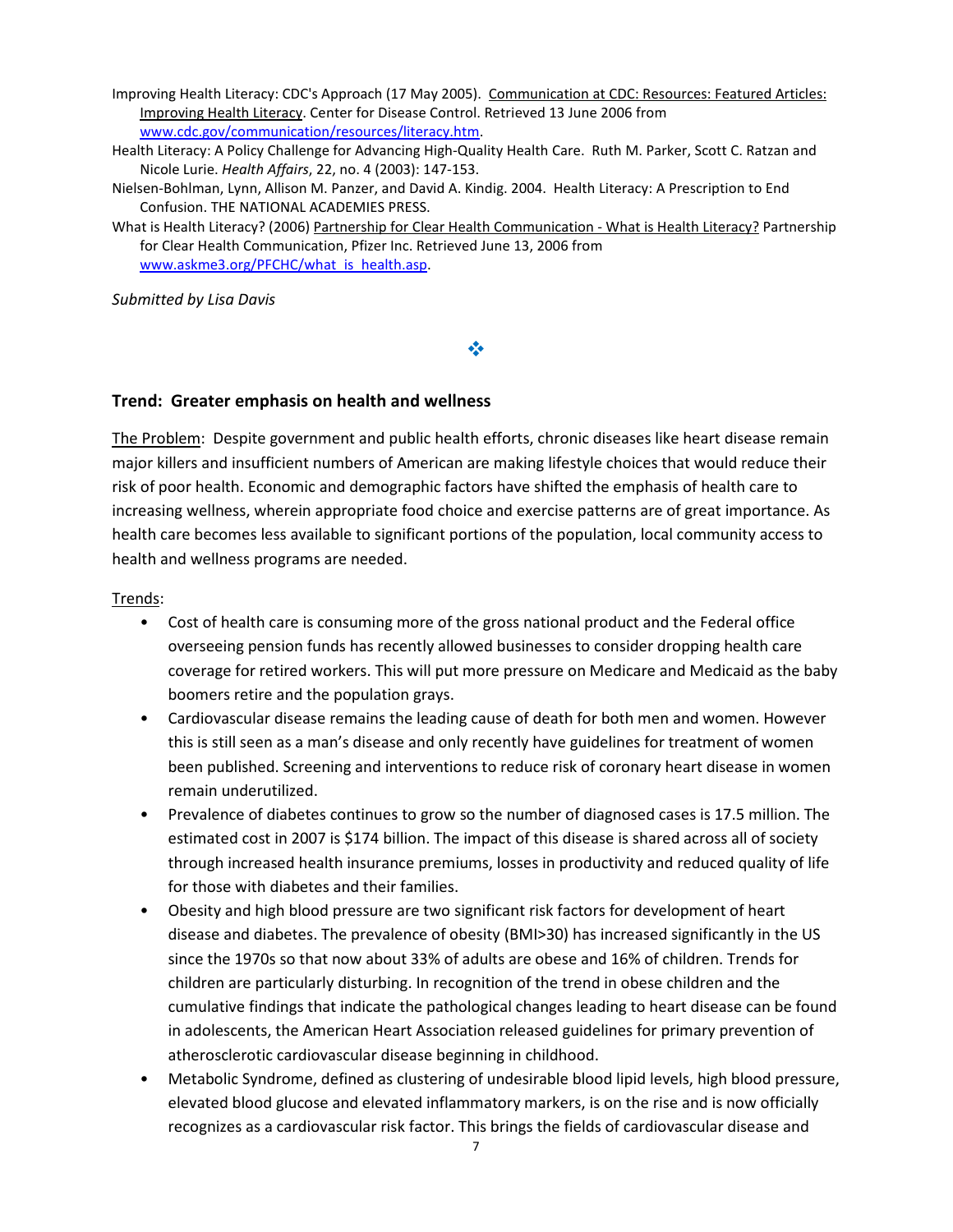Improving Health Literacy: CDC's Approach (17 May 2005). Communication at CDC: Resources: Featured Articles: Improving Health Literacy. Center for Disease Control. Retrieved 13 June 2006 from www.cdc.gov/communication/resources/literacy.htm.

Health Literacy: A Policy Challenge for Advancing High-Quality Health Care. Ruth M. Parker, Scott C. Ratzan and Nicole Lurie. Health Affairs, 22, no. 4 (2003): 147-153.

Nielsen-Bohlman, Lynn, Allison M. Panzer, and David A. Kindig. 2004. Health Literacy: A Prescription to End Confusion. THE NATIONAL ACADEMIES PRESS.

What is Health Literacy? (2006) Partnership for Clear Health Communication - What is Health Literacy? Partnership for Clear Health Communication, Pfizer Inc. Retrieved June 13, 2006 from www.askme3.org/PFCHC/what\_is\_health.asp.

Submitted by Lisa Davis

## ❖

### Trend: Greater emphasis on health and wellness

The Problem: Despite government and public health efforts, chronic diseases like heart disease remain major killers and insufficient numbers of American are making lifestyle choices that would reduce their risk of poor health. Economic and demographic factors have shifted the emphasis of health care to increasing wellness, wherein appropriate food choice and exercise patterns are of great importance. As health care becomes less available to significant portions of the population, local community access to health and wellness programs are needed.

Trends:

- Cost of health care is consuming more of the gross national product and the Federal office overseeing pension funds has recently allowed businesses to consider dropping health care coverage for retired workers. This will put more pressure on Medicare and Medicaid as the baby boomers retire and the population grays.
- Cardiovascular disease remains the leading cause of death for both men and women. However this is still seen as a man's disease and only recently have guidelines for treatment of women been published. Screening and interventions to reduce risk of coronary heart disease in women remain underutilized.
- Prevalence of diabetes continues to grow so the number of diagnosed cases is 17.5 million. The estimated cost in 2007 is \$174 billion. The impact of this disease is shared across all of society through increased health insurance premiums, losses in productivity and reduced quality of life for those with diabetes and their families.
- Obesity and high blood pressure are two significant risk factors for development of heart disease and diabetes. The prevalence of obesity (BMI>30) has increased significantly in the US since the 1970s so that now about 33% of adults are obese and 16% of children. Trends for children are particularly disturbing. In recognition of the trend in obese children and the cumulative findings that indicate the pathological changes leading to heart disease can be found in adolescents, the American Heart Association released guidelines for primary prevention of atherosclerotic cardiovascular disease beginning in childhood.
- Metabolic Syndrome, defined as clustering of undesirable blood lipid levels, high blood pressure, elevated blood glucose and elevated inflammatory markers, is on the rise and is now officially recognizes as a cardiovascular risk factor. This brings the fields of cardiovascular disease and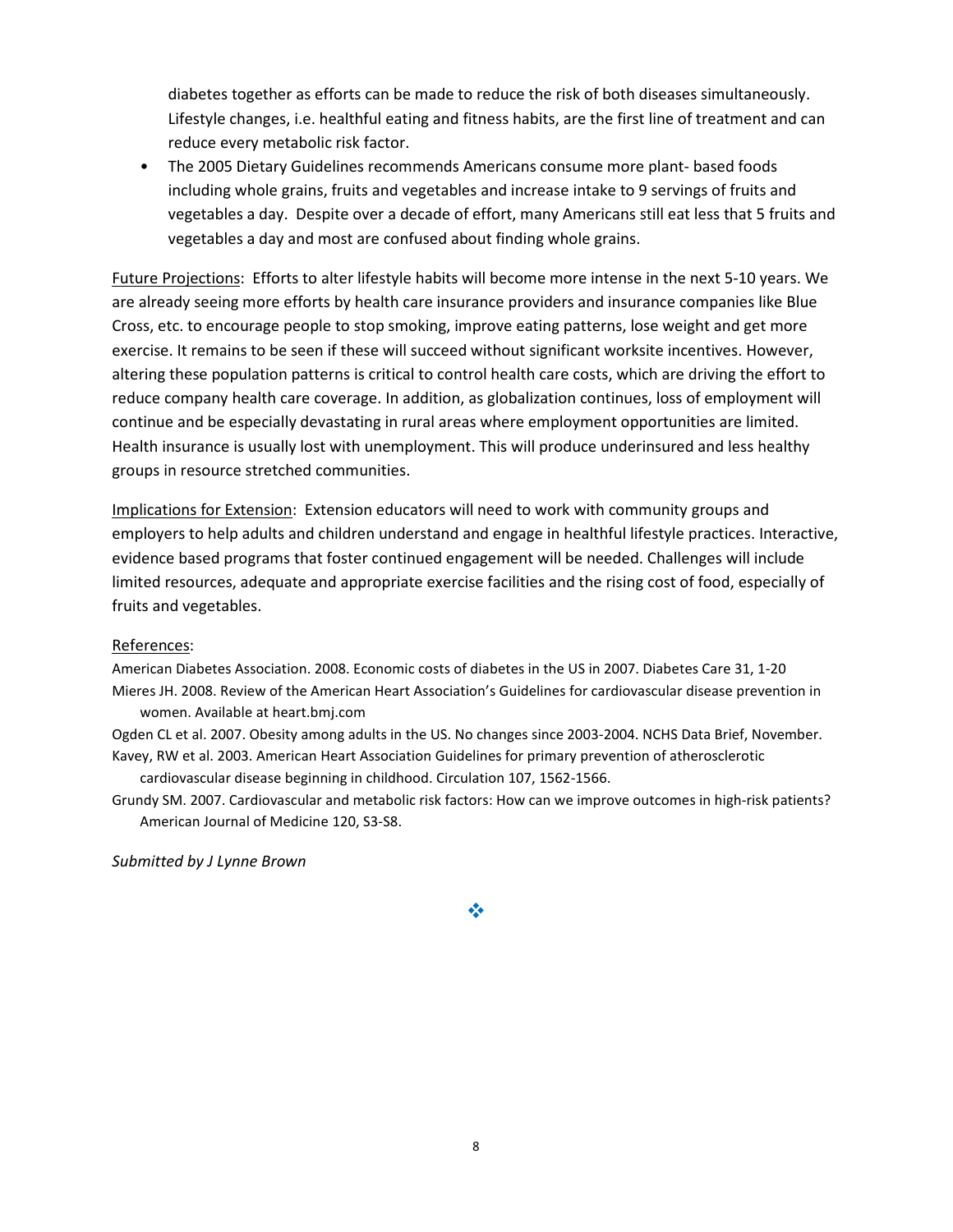diabetes together as efforts can be made to reduce the risk of both diseases simultaneously. Lifestyle changes, i.e. healthful eating and fitness habits, are the first line of treatment and can reduce every metabolic risk factor.

• The 2005 Dietary Guidelines recommends Americans consume more plant- based foods including whole grains, fruits and vegetables and increase intake to 9 servings of fruits and vegetables a day. Despite over a decade of effort, many Americans still eat less that 5 fruits and vegetables a day and most are confused about finding whole grains.

Future Projections: Efforts to alter lifestyle habits will become more intense in the next 5-10 years. We are already seeing more efforts by health care insurance providers and insurance companies like Blue Cross, etc. to encourage people to stop smoking, improve eating patterns, lose weight and get more exercise. It remains to be seen if these will succeed without significant worksite incentives. However, altering these population patterns is critical to control health care costs, which are driving the effort to reduce company health care coverage. In addition, as globalization continues, loss of employment will continue and be especially devastating in rural areas where employment opportunities are limited. Health insurance is usually lost with unemployment. This will produce underinsured and less healthy groups in resource stretched communities.

Implications for Extension: Extension educators will need to work with community groups and employers to help adults and children understand and engage in healthful lifestyle practices. Interactive, evidence based programs that foster continued engagement will be needed. Challenges will include limited resources, adequate and appropriate exercise facilities and the rising cost of food, especially of fruits and vegetables.

#### References:

American Diabetes Association. 2008. Economic costs of diabetes in the US in 2007. Diabetes Care 31, 1-20 Mieres JH. 2008. Review of the American Heart Association's Guidelines for cardiovascular disease prevention in women. Available at heart.bmj.com

Ogden CL et al. 2007. Obesity among adults in the US. No changes since 2003-2004. NCHS Data Brief, November. Kavey, RW et al. 2003. American Heart Association Guidelines for primary prevention of atherosclerotic

cardiovascular disease beginning in childhood. Circulation 107, 1562-1566.

Grundy SM. 2007. Cardiovascular and metabolic risk factors: How can we improve outcomes in high-risk patients? American Journal of Medicine 120, S3-S8.

Submitted by J Lynne Brown

❖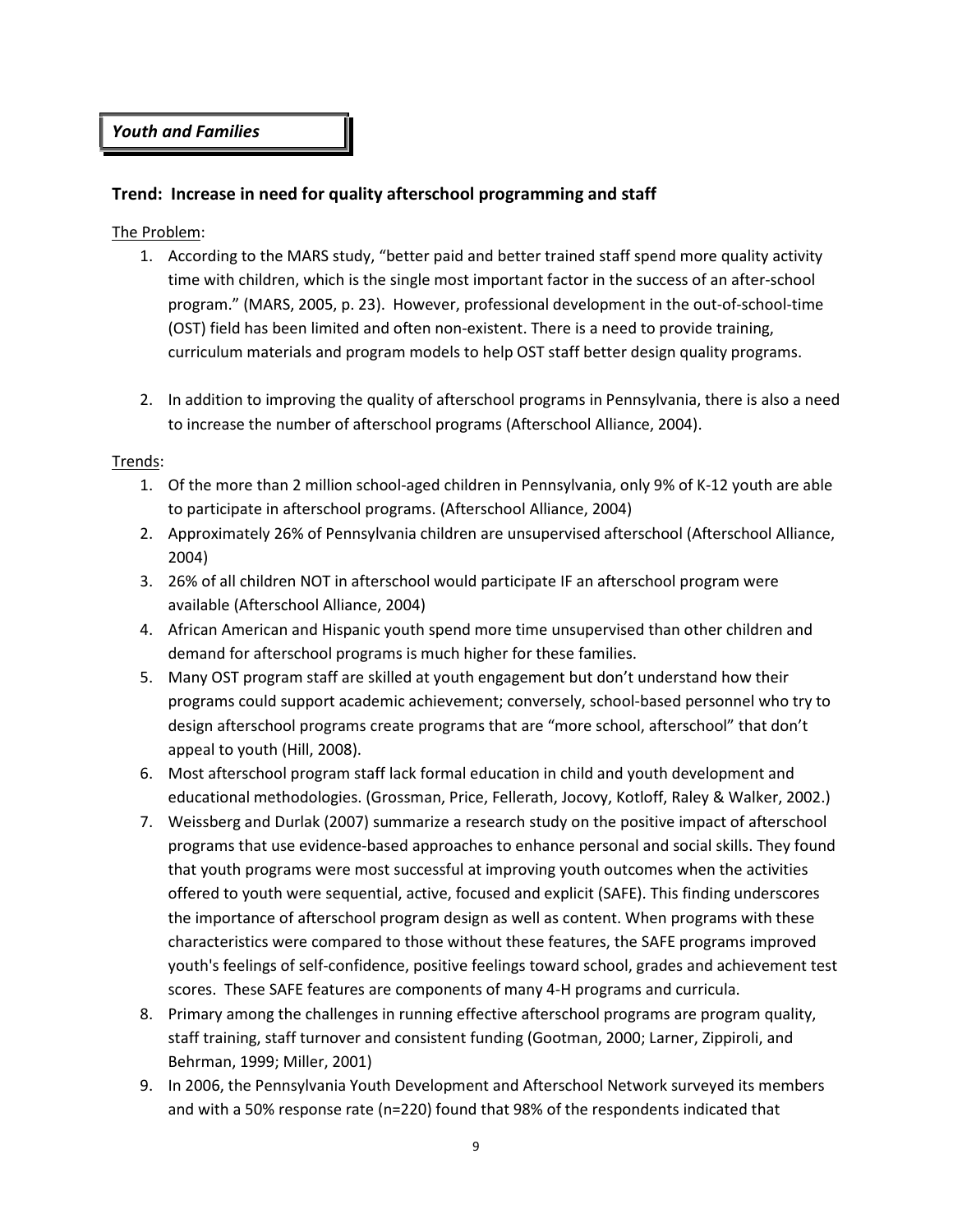## Youth and Families

## Trend: Increase in need for quality afterschool programming and staff

### The Problem:

- 1. According to the MARS study, "better paid and better trained staff spend more quality activity time with children, which is the single most important factor in the success of an after-school program." (MARS, 2005, p. 23). However, professional development in the out-of-school-time (OST) field has been limited and often non-existent. There is a need to provide training, curriculum materials and program models to help OST staff better design quality programs.
- 2. In addition to improving the quality of afterschool programs in Pennsylvania, there is also a need to increase the number of afterschool programs (Afterschool Alliance, 2004).

#### Trends:

- 1. Of the more than 2 million school-aged children in Pennsylvania, only 9% of K-12 youth are able to participate in afterschool programs. (Afterschool Alliance, 2004)
- 2. Approximately 26% of Pennsylvania children are unsupervised afterschool (Afterschool Alliance, 2004)
- 3. 26% of all children NOT in afterschool would participate IF an afterschool program were available (Afterschool Alliance, 2004)
- 4. African American and Hispanic youth spend more time unsupervised than other children and demand for afterschool programs is much higher for these families.
- 5. Many OST program staff are skilled at youth engagement but don't understand how their programs could support academic achievement; conversely, school-based personnel who try to design afterschool programs create programs that are "more school, afterschool" that don't appeal to youth (Hill, 2008).
- 6. Most afterschool program staff lack formal education in child and youth development and educational methodologies. (Grossman, Price, Fellerath, Jocovy, Kotloff, Raley & Walker, 2002.)
- 7. Weissberg and Durlak (2007) summarize a research study on the positive impact of afterschool programs that use evidence-based approaches to enhance personal and social skills. They found that youth programs were most successful at improving youth outcomes when the activities offered to youth were sequential, active, focused and explicit (SAFE). This finding underscores the importance of afterschool program design as well as content. When programs with these characteristics were compared to those without these features, the SAFE programs improved youth's feelings of self-confidence, positive feelings toward school, grades and achievement test scores. These SAFE features are components of many 4-H programs and curricula.
- 8. Primary among the challenges in running effective afterschool programs are program quality, staff training, staff turnover and consistent funding (Gootman, 2000; Larner, Zippiroli, and Behrman, 1999; Miller, 2001)
- 9. In 2006, the Pennsylvania Youth Development and Afterschool Network surveyed its members and with a 50% response rate (n=220) found that 98% of the respondents indicated that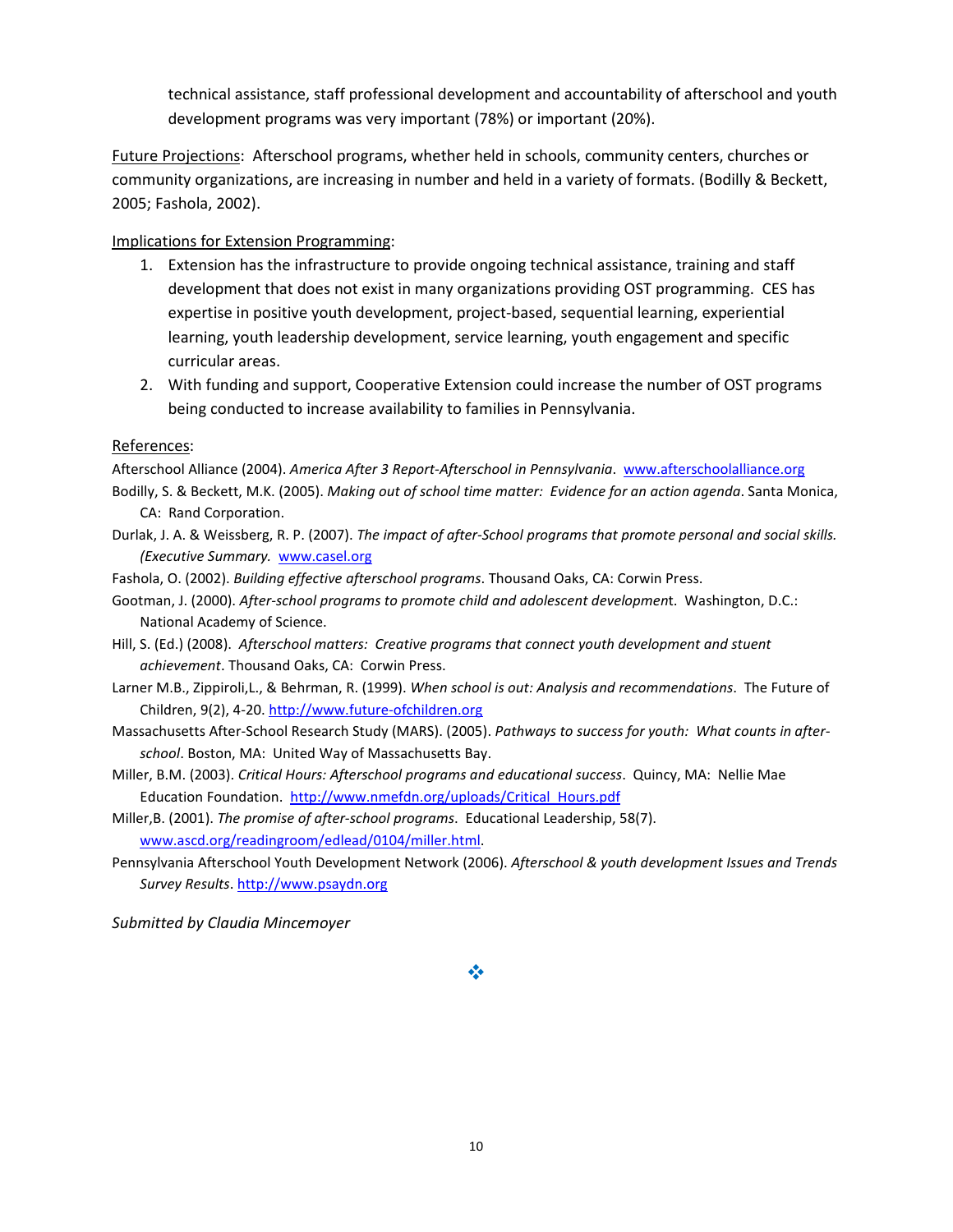technical assistance, staff professional development and accountability of afterschool and youth development programs was very important (78%) or important (20%).

Future Projections: Afterschool programs, whether held in schools, community centers, churches or community organizations, are increasing in number and held in a variety of formats. (Bodilly & Beckett, 2005; Fashola, 2002).

## Implications for Extension Programming:

- 1. Extension has the infrastructure to provide ongoing technical assistance, training and staff development that does not exist in many organizations providing OST programming. CES has expertise in positive youth development, project-based, sequential learning, experiential learning, youth leadership development, service learning, youth engagement and specific curricular areas.
- 2. With funding and support, Cooperative Extension could increase the number of OST programs being conducted to increase availability to families in Pennsylvania.

### References:

Afterschool Alliance (2004). America After 3 Report-Afterschool in Pennsylvania. www.afterschoolalliance.org

- Bodilly, S. & Beckett, M.K. (2005). Making out of school time matter: Evidence for an action agenda. Santa Monica, CA: Rand Corporation.
- Durlak, J. A. & Weissberg, R. P. (2007). The impact of after-School programs that promote personal and social skills. (Executive Summary. www.casel.org
- Fashola, O. (2002). Building effective afterschool programs. Thousand Oaks, CA: Corwin Press.
- Gootman, J. (2000). After-school programs to promote child and adolescent development. Washington, D.C.: National Academy of Science.
- Hill, S. (Ed.) (2008). Afterschool matters: Creative programs that connect youth development and stuent achievement. Thousand Oaks, CA: Corwin Press.
- Larner M.B., Zippiroli,L., & Behrman, R. (1999). When school is out: Analysis and recommendations. The Future of Children, 9(2), 4-20. http://www.future-ofchildren.org
- Massachusetts After-School Research Study (MARS). (2005). Pathways to success for youth: What counts in afterschool. Boston, MA: United Way of Massachusetts Bay.
- Miller, B.M. (2003). Critical Hours: Afterschool programs and educational success. Quincy, MA: Nellie Mae Education Foundation. http://www.nmefdn.org/uploads/Critical\_Hours.pdf
- Miller,B. (2001). The promise of after-school programs. Educational Leadership, 58(7). www.ascd.org/readingroom/edlead/0104/miller.html.
- Pennsylvania Afterschool Youth Development Network (2006). Afterschool & youth development Issues and Trends Survey Results. http://www.psaydn.org

Submitted by Claudia Mincemoyer

## ÷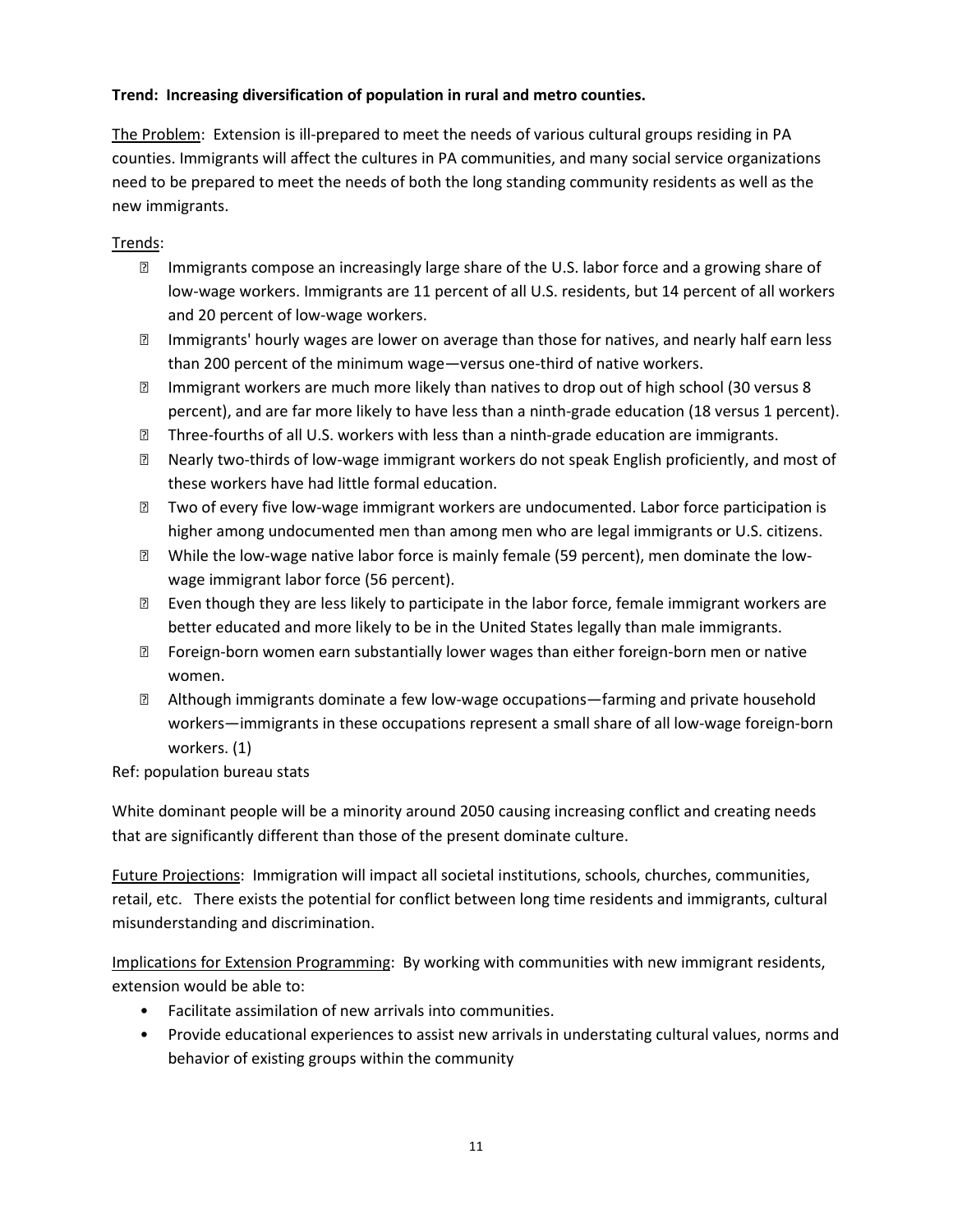## Trend: Increasing diversification of population in rural and metro counties.

The Problem: Extension is ill-prepared to meet the needs of various cultural groups residing in PA counties. Immigrants will affect the cultures in PA communities, and many social service organizations need to be prepared to meet the needs of both the long standing community residents as well as the new immigrants.

## Trends:

- **Immigrants compose an increasingly large share of the U.S. labor force and a growing share of** low-wage workers. Immigrants are 11 percent of all U.S. residents, but 14 percent of all workers and 20 percent of low-wage workers.
- Immigrants' hourly wages are lower on average than those for natives, and nearly half earn less than 200 percent of the minimum wage—versus one-third of native workers.
- Immigrant workers are much more likely than natives to drop out of high school (30 versus 8 percent), and are far more likely to have less than a ninth-grade education (18 versus 1 percent).
- **Iffer that** incontrient of all U.S. workers with less than a ninth-grade education are immigrants.
- Nearly two-thirds of low-wage immigrant workers do not speak English proficiently, and most of these workers have had little formal education.
- Two of every five low-wage immigrant workers are undocumented. Labor force participation is higher among undocumented men than among men who are legal immigrants or U.S. citizens.
- While the low-wage native labor force is mainly female (59 percent), men dominate the lowwage immigrant labor force (56 percent).
- **Even though they are less likely to participate in the labor force, female immigrant workers are** better educated and more likely to be in the United States legally than male immigrants.
- Foreign-born women earn substantially lower wages than either foreign-born men or native women.
- Although immigrants dominate a few low-wage occupations—farming and private household workers—immigrants in these occupations represent a small share of all low-wage foreign-born workers. (1)

Ref: population bureau stats

White dominant people will be a minority around 2050 causing increasing conflict and creating needs that are significantly different than those of the present dominate culture.

Future Projections: Immigration will impact all societal institutions, schools, churches, communities, retail, etc. There exists the potential for conflict between long time residents and immigrants, cultural misunderstanding and discrimination.

Implications for Extension Programming: By working with communities with new immigrant residents, extension would be able to:

- Facilitate assimilation of new arrivals into communities.
- Provide educational experiences to assist new arrivals in understating cultural values, norms and behavior of existing groups within the community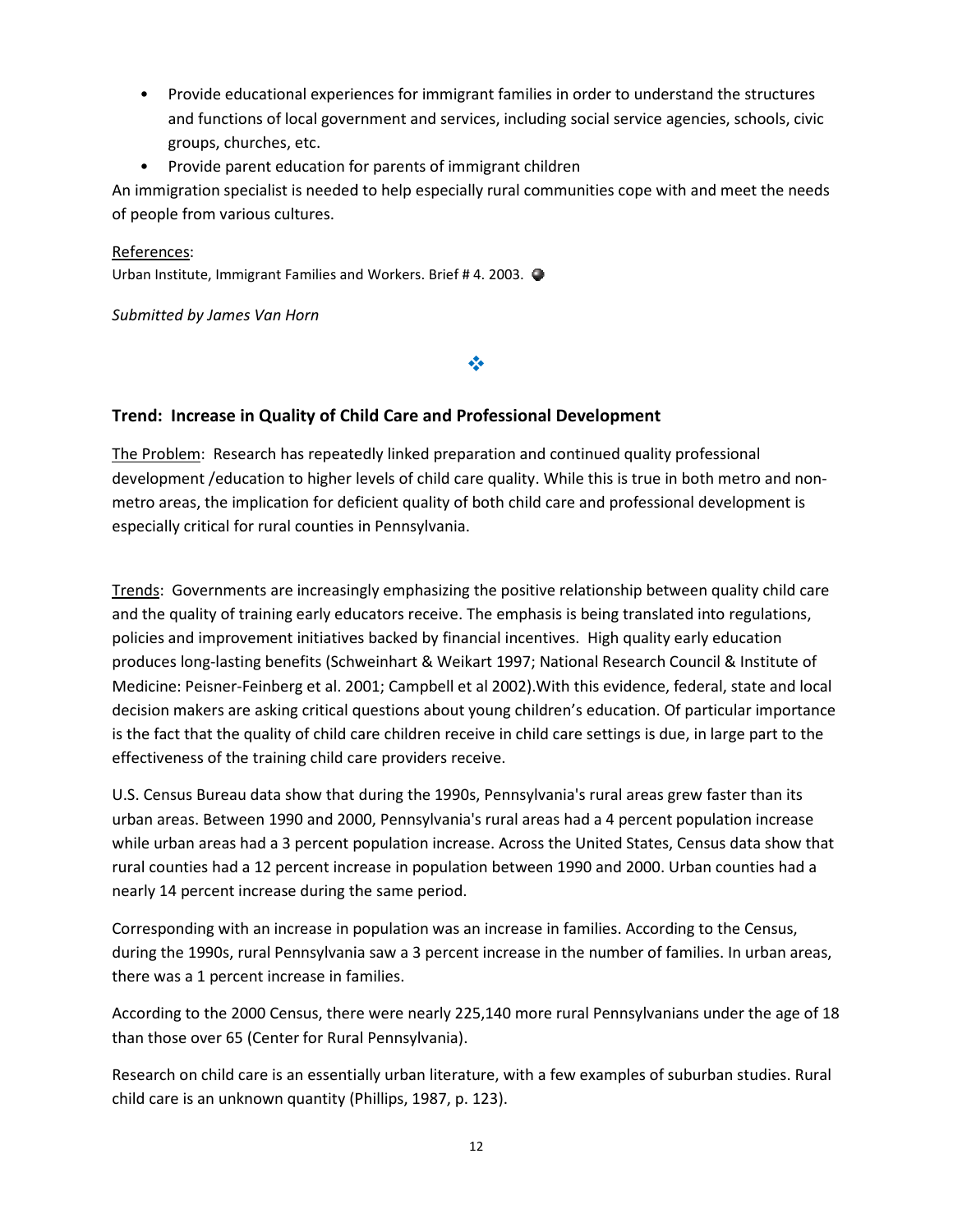- Provide educational experiences for immigrant families in order to understand the structures and functions of local government and services, including social service agencies, schools, civic<br>groups, churches, etc.<br>Provide parent education for parents of immigrant children groups, churches, etc.
- Provide parent education for parents of immigrant children

An immigration specialist is needed to help especially rural communities cope with and meet the needs of people from various cultures.

### References:

Urban Institute, Immigrant Families and Workers. Brief #4. 2003.

Submitted by James Van Horn

咚

## Trend: Increase in Quality of Child Care and Professional Development

The Problem: Research has repeatedly linked preparation and continued quality professional development / education to higher levels of child care quality. While this is true in both metro and nonmetro areas, the implication for deficient quality of both child care and professional development is especially critical for rural counties in Pennsylvania. blem: Research has repeatedly linked preparation and continued quality professional<br>ment /education to higher levels of child care quality. While this is true in both metro and<br>reas, the implication for deficient quality o

Trends: Governments are increasingly emphasizing the positive relationship between quality child care and the quality of training early educators receive. The emphasis is being translated into regulations, policies and improvement initiatives backed by financial incentives. High quality early education produces long-lasting benefits (Schweinhart & Weikart 1997; National Research Council & Institute of Medicine: Peisner-Feinberg et al. 2001; Campbell et al 2002).With this evidence, federal, state and local decision makers are asking critical questions about young children's education. Of particular importance is the fact that the quality of child care children receive in child care settings is due, in large part to the effectiveness of the training child care providers rec Medicine: Peisner-Feinberg et al. 2001; Campbell et al 2002).With this evidence, federal, state and loca<br>decision makers are asking critical questions about young children's education. Of particular importanc<br>is the fact t

U.S. Census Bureau data show that during the 1990s, Pennsylvania's rural areas grew faster than its U.S. Census Bureau data show that during the 1990s, Pennsylvania's rural areas grew faster than its<br>urban areas. Between 1990 and 2000, Pennsylvania's rural areas had a 4 percent population increase while urban areas had a 3 percent population increase. Across the United States, Census data show that rural counties had a 12 percent increase in population between 1990 and 2000. Urban counties had a nearly 14 percent increase during the same period. nearly

Corresponding with an increase in population was an increase in families. According to the Census, during the 1990s, rural Pennsylvania saw a 3 percent increase in the number of families. In urban areas, there was a 1 percent increase in families. during the 1990s, rural Pennsylvania saw a 3 percent increase in the number of families. In urban areas,<br>there was a 1 percent increase in families.<br>According to the 2000 Census, there were nearly 225,140 more rural Pennsy ase. Across the United States, Census data show that<br>ion between 1990 and 2000. Urban counties had a<br>an increase in families. According to the Census,<br>nt increase in the number of families. In urban areas,<br>25,140 more rura

than those over 65 (Center for Rural Pennsylvania).

Research on child care is an essentially urban literature, with a few examples of suburban studies. Rural<br>child care is an unknown quantity (Phillips, 1987, p. 123). child care is an unknown quantity (Phillips, 1987, p.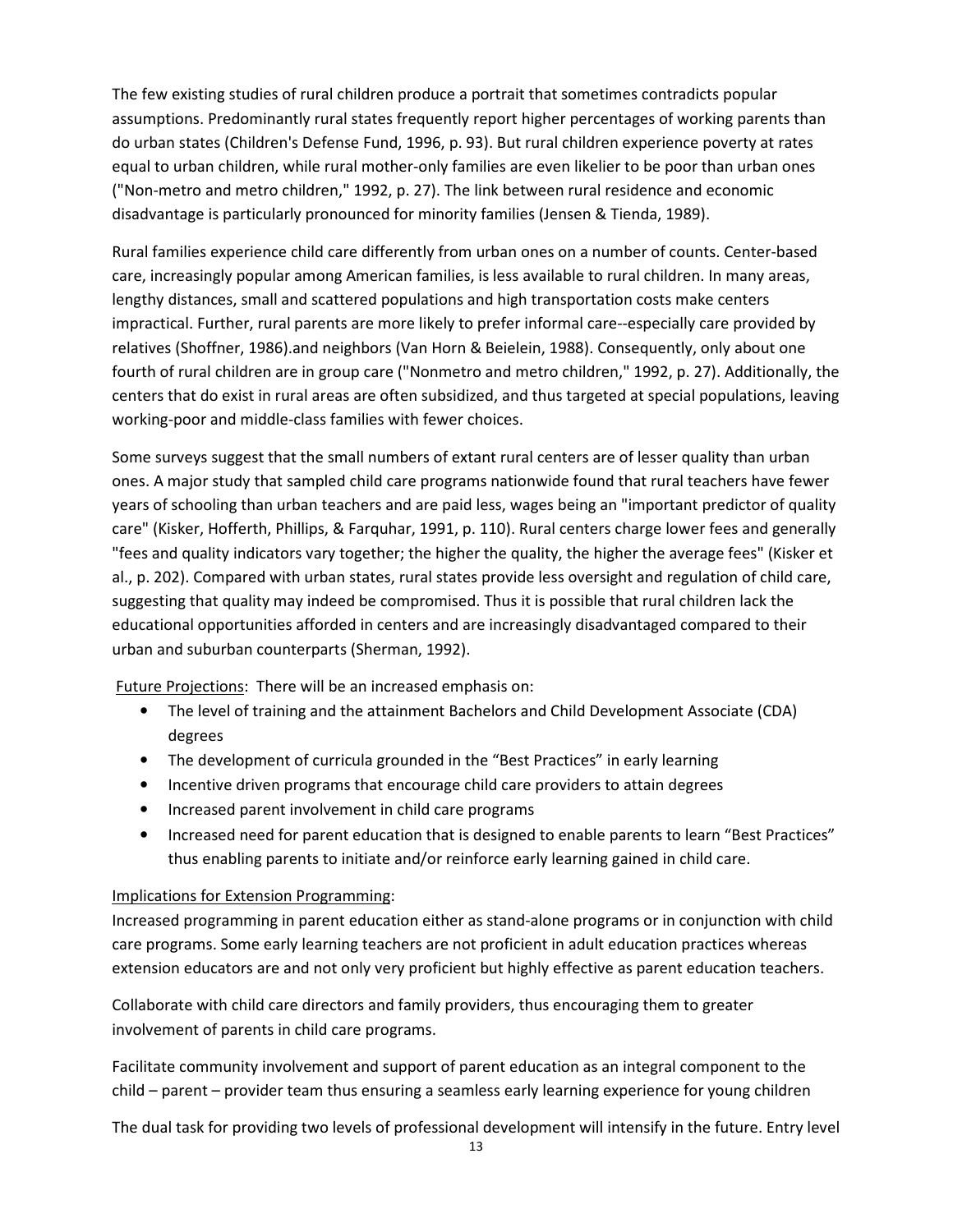The few existing studies of rural children produce a portrait that sometimes contradicts popular assumptions. Predominantly rural states frequently report higher percentages of working parents than do urban states (Children's Defense Fund, 1996, p. 93). But rural children experience poverty at rates equal to urban children, while rural mother-only families are even likelier to be poor than urban ones ("Non-metro and metro children," 1992, p. 27). The link between rural residence and economic disadvantage is particularly pronounced for minority families (Jensen & Tienda, 1989).

Rural families experience child care differently from urban ones on a number of counts. Center-based care, increasingly popular among American families, is less available to rural children. In many areas, lengthy distances, small and scattered populations and high transportation costs make centers impractical. Further, rural parents are more likely to prefer informal care--especially care provided by relatives (Shoffner, 1986).and neighbors (Van Horn & Beielein, 1988). Consequently, only about one fourth of rural children are in group care ("Nonmetro and metro children," 1992, p. 27). Additionally, the centers that do exist in rural areas are often subsidized, and thus targeted at special populations, leaving working-poor and middle-class families with fewer choices.

Some surveys suggest that the small numbers of extant rural centers are of lesser quality than urban ones. A major study that sampled child care programs nationwide found that rural teachers have fewer years of schooling than urban teachers and are paid less, wages being an "important predictor of quality care" (Kisker, Hofferth, Phillips, & Farquhar, 1991, p. 110). Rural centers charge lower fees and generally "fees and quality indicators vary together; the higher the quality, the higher the average fees" (Kisker et al., p. 202). Compared with urban states, rural states provide less oversight and regulation of child care, suggesting that quality may indeed be compromised. Thus it is possible that rural children lack the educational opportunities afforded in centers and are increasingly disadvantaged compared to their urban and suburban counterparts (Sherman, 1992).

Future Projections: There will be an increased emphasis on:

- The level of training and the attainment Bachelors and Child Development Associate (CDA) degrees
- The development of curricula grounded in the "Best Practices" in early learning
- Incentive driven programs that encourage child care providers to attain degrees
- Increased parent involvement in child care programs
- Increased need for parent education that is designed to enable parents to learn "Best Practices" thus enabling parents to initiate and/or reinforce early learning gained in child care.

## Implications for Extension Programming:

Increased programming in parent education either as stand-alone programs or in conjunction with child care programs. Some early learning teachers are not proficient in adult education practices whereas extension educators are and not only very proficient but highly effective as parent education teachers.

Collaborate with child care directors and family providers, thus encouraging them to greater involvement of parents in child care programs.

Facilitate community involvement and support of parent education as an integral component to the child – parent – provider team thus ensuring a seamless early learning experience for young children

The dual task for providing two levels of professional development will intensify in the future. Entry level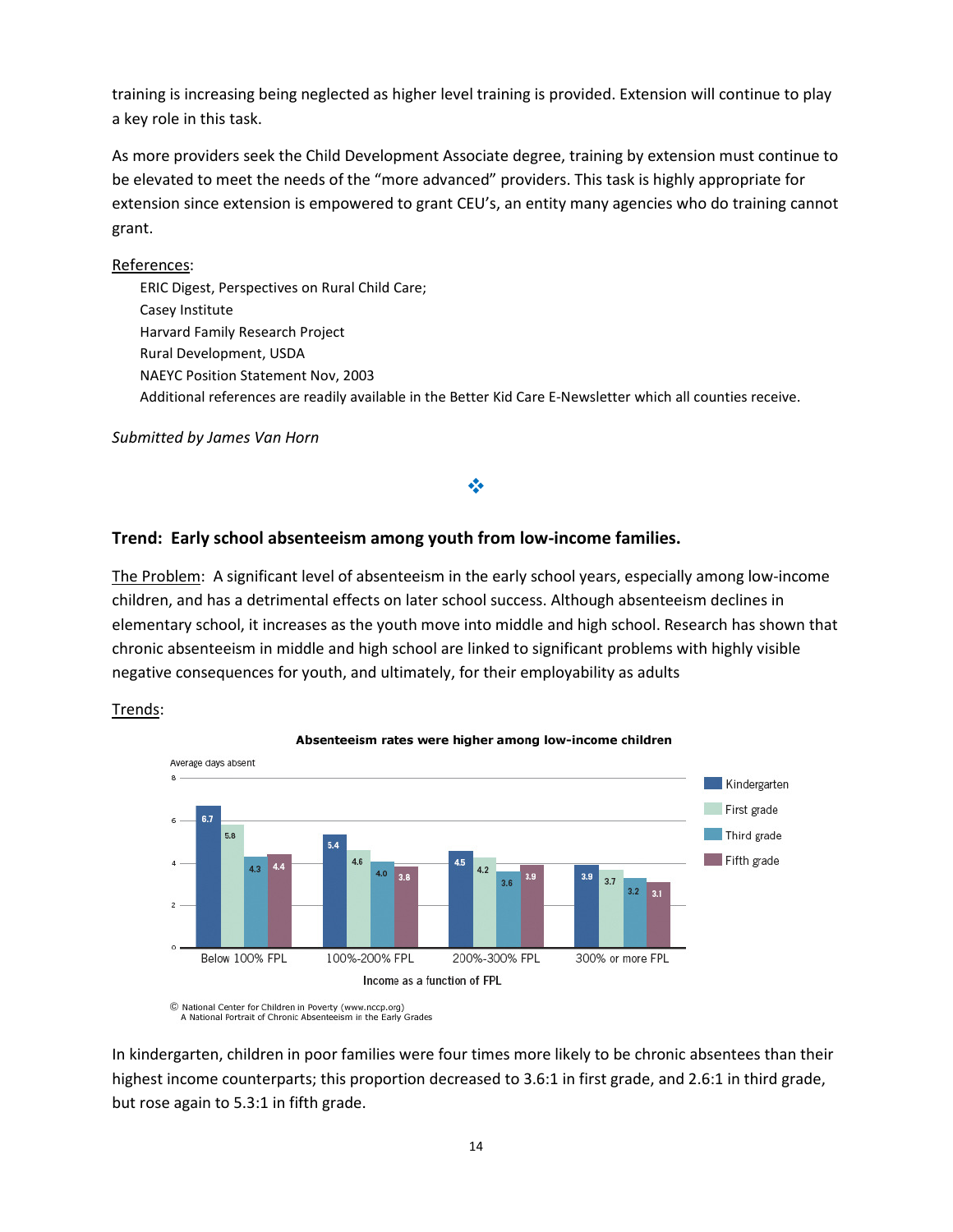training is increasing being neglected as higher level training is provided. Extension will continue to play a key role in this task.

As more providers seek the Child Development Associate degree, training by extension must continue to be elevated to meet the needs of the "more advanced" providers. This task is highly appropriate for extension since extension is empowered to grant CEU's, an entity many agencies who do training cannot grant.

## References:

 ERIC Digest, Perspectives on Rural Child Care; Casey Institute Harvard Family Research Project Rural Development, USDA NAEYC Position Statement Nov, 2003 Additional references are readily available in the Better Kid Care E-Newsletter which all counties receive.

Submitted by James Van Horn

## Trend: Early school absenteeism among youth from low-income families.

The Problem: A significant level of absenteeism in the early school years, especially among low-income children, and has a detrimental effects on later school success. Although absenteeism declines in elementary school, it increases as the youth move into middle and high school. Research has shown that chronic absenteeism in middle and high school are linked to significant problems with highly visible negative consequences for youth, and ultimately, for their employability as adults

÷

### Trends:



C National Center for Children in Poverty (www.nccp.org)<br>A National Portrait of Chronic Absenteeism in the Early Grades

In kindergarten, children in poor families were four times more likely to be chronic absentees than their highest income counterparts; this proportion decreased to 3.6:1 in first grade, and 2.6:1 in third grade, but rose again to 5.3:1 in fifth grade.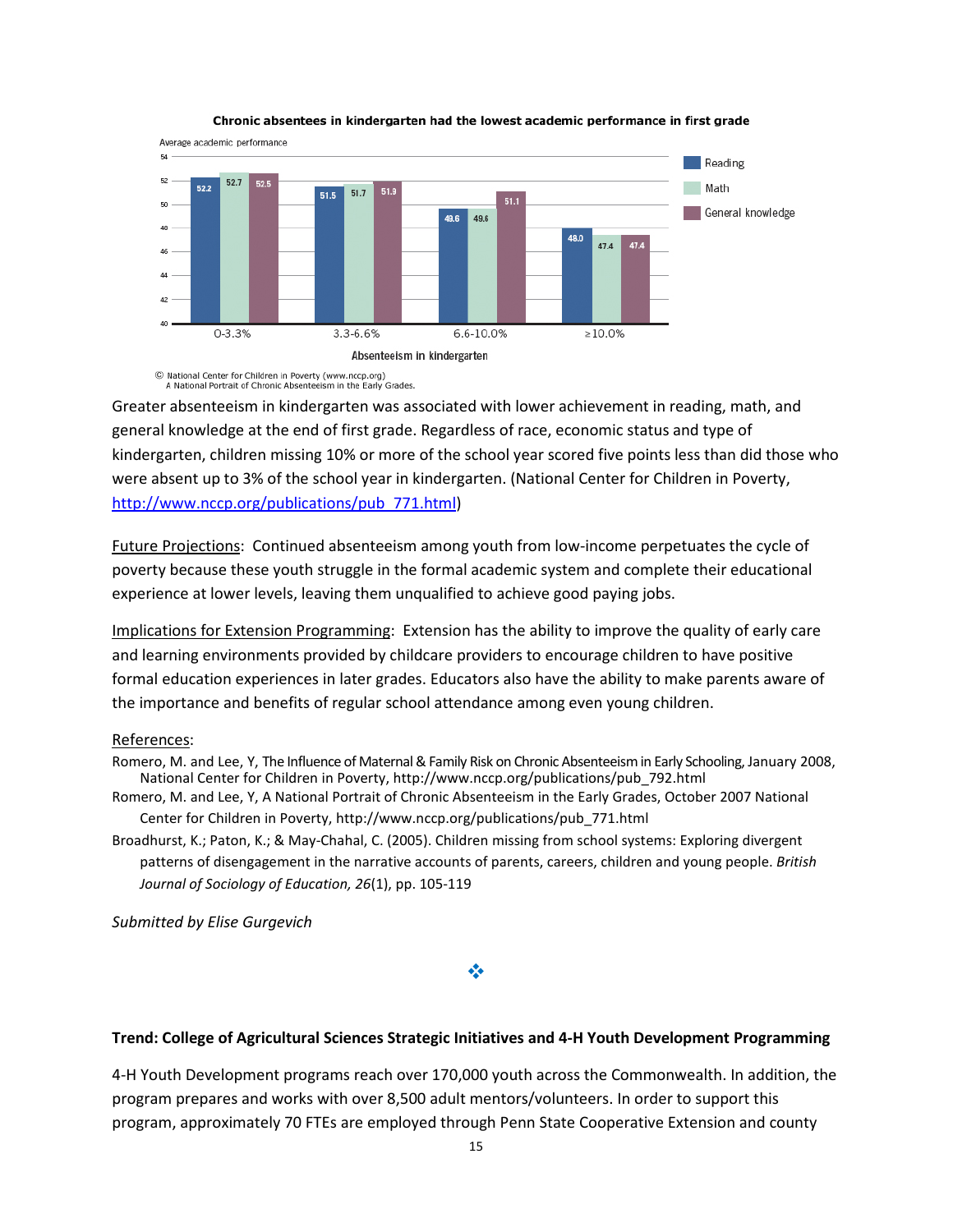

#### Chronic absentees in kindergarten had the lowest academic performance in first grade

© National Center for Children in Poverty (www.nccp.org)<br>A National Portrait of Chronic Absenteeism in the Early Grades.

Greater absenteeism in kindergarten was associated with lower achievement in reading, math, and general knowledge at the end of first grade. Regardless of race, economic status and type of kindergarten, children missing 10% or more of the school year scored five points less than did those who were absent up to 3% of the school year in kindergarten. (National Center for Children in Poverty, http://www.nccp.org/publications/pub\_771.html)

Future Projections: Continued absenteeism among youth from low-income perpetuates the cycle of poverty because these youth struggle in the formal academic system and complete their educational experience at lower levels, leaving them unqualified to achieve good paying jobs.

Implications for Extension Programming: Extension has the ability to improve the quality of early care and learning environments provided by childcare providers to encourage children to have positive formal education experiences in later grades. Educators also have the ability to make parents aware of the importance and benefits of regular school attendance among even young children.

#### References:

- Romero, M. and Lee, Y, The Influence of Maternal & Family Risk on Chronic Absenteeism in Early Schooling, January 2008, National Center for Children in Poverty, http://www.nccp.org/publications/pub\_792.html
- Romero, M. and Lee, Y, A National Portrait of Chronic Absenteeism in the Early Grades, October 2007 National Center for Children in Poverty, http://www.nccp.org/publications/pub\_771.html
- Broadhurst, K.; Paton, K.; & May-Chahal, C. (2005). Children missing from school systems: Exploring divergent patterns of disengagement in the narrative accounts of parents, careers, children and young people. British Journal of Sociology of Education, 26(1), pp. 105-119

Submitted by Elise Gurgevich

#### ❖

#### Trend: College of Agricultural Sciences Strategic Initiatives and 4-H Youth Development Programming

4-H Youth Development programs reach over 170,000 youth across the Commonwealth. In addition, the program prepares and works with over 8,500 adult mentors/volunteers. In order to support this program, approximately 70 FTEs are employed through Penn State Cooperative Extension and county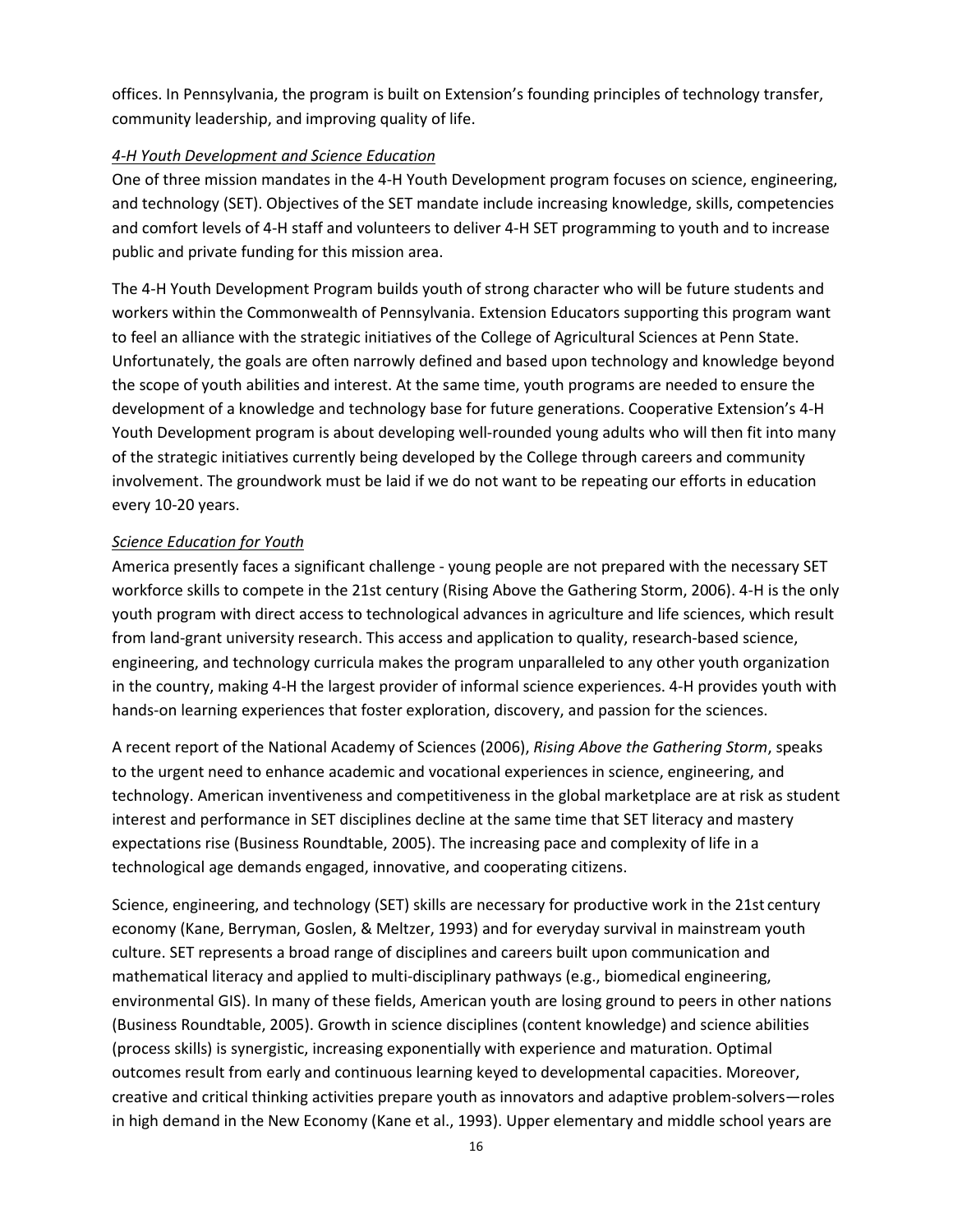offices. In Pennsylvania, the program is built on Extension's founding principles of technology transfer, community leadership, and improving quality of life.

## 4-H Youth Development and Science Education

One of three mission mandates in the 4-H Youth Development program focuses on science, engineering, and technology (SET). Objectives of the SET mandate include increasing knowledge, skills, competencies and comfort levels of 4-H staff and volunteers to deliver 4-H SET programming to youth and to increase public and private funding for this mission area.

The 4-H Youth Development Program builds youth of strong character who will be future students and workers within the Commonwealth of Pennsylvania. Extension Educators supporting this program want to feel an alliance with the strategic initiatives of the College of Agricultural Sciences at Penn State. Unfortunately, the goals are often narrowly defined and based upon technology and knowledge beyond the scope of youth abilities and interest. At the same time, youth programs are needed to ensure the development of a knowledge and technology base for future generations. Cooperative Extension's 4-H Youth Development program is about developing well-rounded young adults who will then fit into many of the strategic initiatives currently being developed by the College through careers and community involvement. The groundwork must be laid if we do not want to be repeating our efforts in education every 10-20 years.

## Science Education for Youth

America presently faces a significant challenge - young people are not prepared with the necessary SET workforce skills to compete in the 21st century (Rising Above the Gathering Storm, 2006). 4-H is the only youth program with direct access to technological advances in agriculture and life sciences, which result from land-grant university research. This access and application to quality, research-based science, engineering, and technology curricula makes the program unparalleled to any other youth organization in the country, making 4-H the largest provider of informal science experiences. 4-H provides youth with hands-on learning experiences that foster exploration, discovery, and passion for the sciences.

A recent report of the National Academy of Sciences (2006), Rising Above the Gathering Storm, speaks to the urgent need to enhance academic and vocational experiences in science, engineering, and technology. American inventiveness and competitiveness in the global marketplace are at risk as student interest and performance in SET disciplines decline at the same time that SET literacy and mastery expectations rise (Business Roundtable, 2005). The increasing pace and complexity of life in a technological age demands engaged, innovative, and cooperating citizens.

Science, engineering, and technology (SET) skills are necessary for productive work in the 21st century economy (Kane, Berryman, Goslen, & Meltzer, 1993) and for everyday survival in mainstream youth culture. SET represents a broad range of disciplines and careers built upon communication and mathematical literacy and applied to multi-disciplinary pathways (e.g., biomedical engineering, environmental GIS). In many of these fields, American youth are losing ground to peers in other nations (Business Roundtable, 2005). Growth in science disciplines (content knowledge) and science abilities (process skills) is synergistic, increasing exponentially with experience and maturation. Optimal outcomes result from early and continuous learning keyed to developmental capacities. Moreover, creative and critical thinking activities prepare youth as innovators and adaptive problem-solvers—roles in high demand in the New Economy (Kane et al., 1993). Upper elementary and middle school years are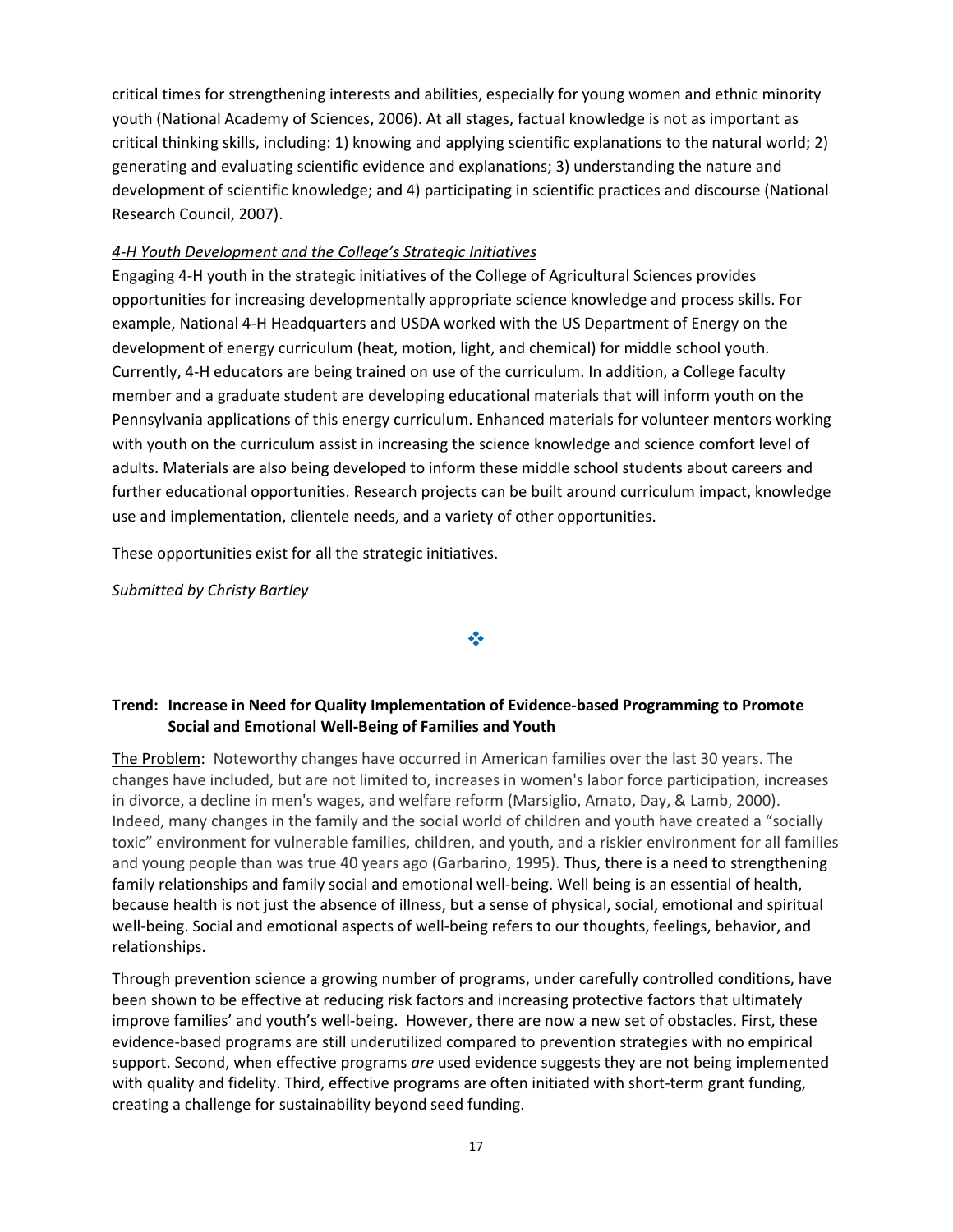critical times for strengthening interests and abilities, especially for young women and ethnic minority youth (National Academy of Sciences, 2006). At all stages, factual knowledge is not as important as critical thinking skills, including: 1) knowing and applying scientific explanations to the natural world; 2) generating and evaluating scientific evidence and explanations; 3) understanding the nature and development of scientific knowledge; and 4) participating in scientific practices and discourse (National Research Council, 2007).

### 4-H Youth Development and the College's Strategic Initiatives

Engaging 4-H youth in the strategic initiatives of the College of Agricultural Sciences provides opportunities for increasing developmentally appropriate science knowledge and process skills. For example, National 4-H Headquarters and USDA worked with the US Department of Energy on the development of energy curriculum (heat, motion, light, and chemical) for middle school youth. Currently, 4-H educators are being trained on use of the curriculum. In addition, a College faculty member and a graduate student are developing educational materials that will inform youth on the Pennsylvania applications of this energy curriculum. Enhanced materials for volunteer mentors working with youth on the curriculum assist in increasing the science knowledge and science comfort level of adults. Materials are also being developed to inform these middle school students about careers and further educational opportunities. Research projects can be built around curriculum impact, knowledge use and implementation, clientele needs, and a variety of other opportunities.

These opportunities exist for all the strategic initiatives.

Submitted by Christy Bartley

#### ❖

### Trend: Increase in Need for Quality Implementation of Evidence-based Programming to Promote Social and Emotional Well-Being of Families and Youth

The Problem: Noteworthy changes have occurred in American families over the last 30 years. The changes have included, but are not limited to, increases in women's labor force participation, increases in divorce, a decline in men's wages, and welfare reform (Marsiglio, Amato, Day, & Lamb, 2000). Indeed, many changes in the family and the social world of children and youth have created a "socially toxic" environment for vulnerable families, children, and youth, and a riskier environment for all families and young people than was true 40 years ago (Garbarino, 1995). Thus, there is a need to strengthening family relationships and family social and emotional well-being. Well being is an essential of health, because health is not just the absence of illness, but a sense of physical, social, emotional and spiritual well-being. Social and emotional aspects of well-being refers to our thoughts, feelings, behavior, and relationships.

Through prevention science a growing number of programs, under carefully controlled conditions, have been shown to be effective at reducing risk factors and increasing protective factors that ultimately improve families' and youth's well-being. However, there are now a new set of obstacles. First, these evidence-based programs are still underutilized compared to prevention strategies with no empirical support. Second, when effective programs are used evidence suggests they are not being implemented with quality and fidelity. Third, effective programs are often initiated with short-term grant funding, creating a challenge for sustainability beyond seed funding.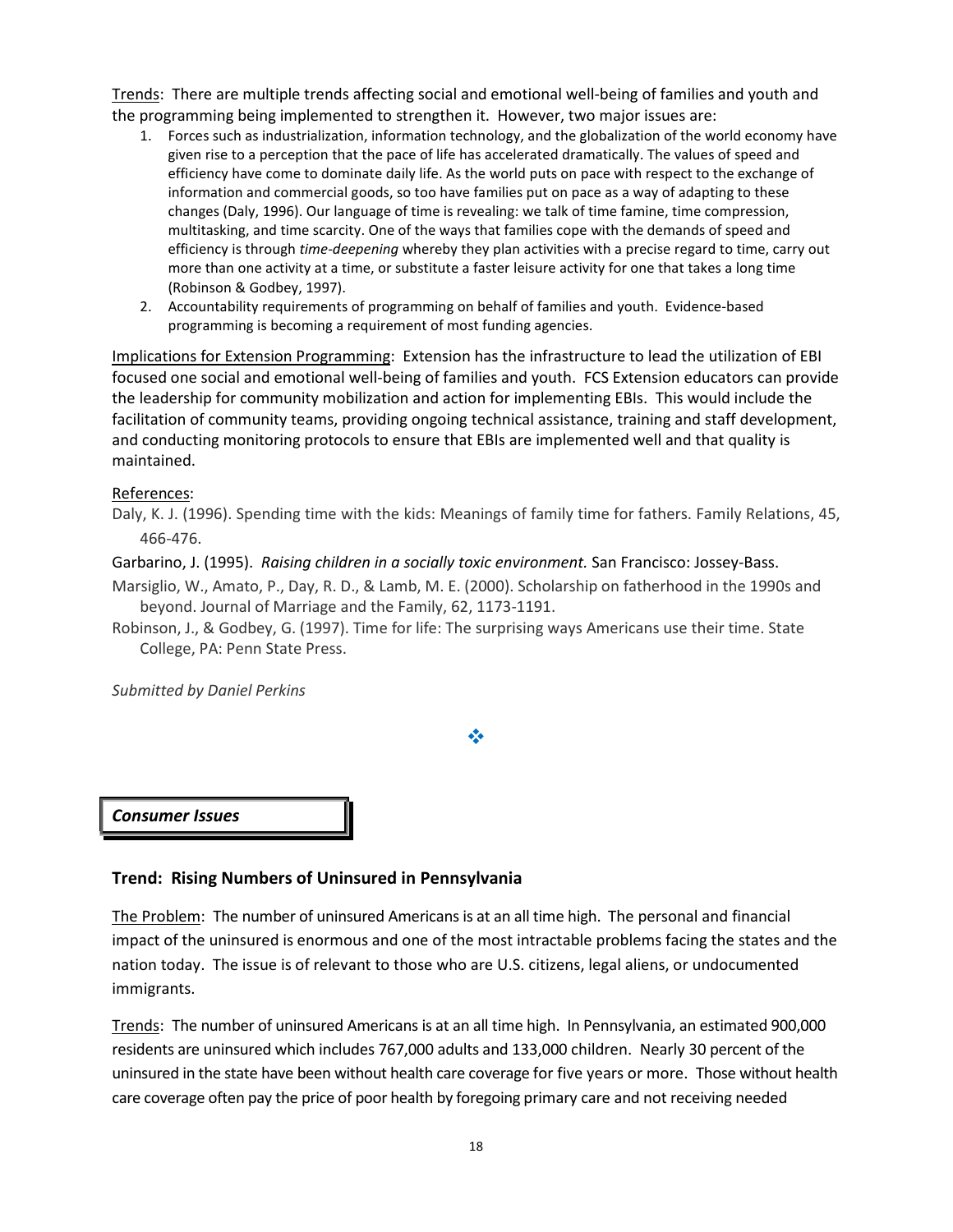Trends: There are multiple trends affecting social and emotional well-being of families and youth and the programming being implemented to strengthen it. However, two major issues are:

- 1. Forces such as industrialization, information technology, and the globalization of the world economy have given rise to a perception that the pace of life has accelerated dramatically. The values of speed and efficiency have come to dominate daily life. As the world puts on pace with respect to the exchange of information and commercial goods, so too have families put on pace as a way of adapting to these changes (Daly, 1996). Our language of time is revealing: we talk of time famine, time compression, multitasking, and time scarcity. One of the ways that families cope with the demands of speed and efficiency is through time-deepening whereby they plan activities with a precise regard to time, carry out more than one activity at a time, or substitute a faster leisure activity for one that takes a long time (Robinson & Godbey, 1997).
- 2. Accountability requirements of programming on behalf of families and youth. Evidence-based programming is becoming a requirement of most funding agencies.

Implications for Extension Programming: Extension has the infrastructure to lead the utilization of EBI focused one social and emotional well-being of families and youth. FCS Extension educators can provide the leadership for community mobilization and action for implementing EBIs. This would include the facilitation of community teams, providing ongoing technical assistance, training and staff development, and conducting monitoring protocols to ensure that EBIs are implemented well and that quality is maintained.

#### References:

Daly, K. J. (1996). Spending time with the kids: Meanings of family time for fathers. Family Relations, 45, 466-476.

#### Garbarino, J. (1995). Raising children in a socially toxic environment. San Francisco: Jossey-Bass.

- Marsiglio, W., Amato, P., Day, R. D., & Lamb, M. E. (2000). Scholarship on fatherhood in the 1990s and beyond. Journal of Marriage and the Family, 62, 1173-1191.
- Robinson, J., & Godbey, G. (1997). Time for life: The surprising ways Americans use their time. State College, PA: Penn State Press.

Submitted by Daniel Perkins

参

Consumer Issues

#### Trend: Rising Numbers of Uninsured in Pennsylvania

The Problem: The number of uninsured Americans is at an all time high. The personal and financial impact of the uninsured is enormous and one of the most intractable problems facing the states and the nation today. The issue is of relevant to those who are U.S. citizens, legal aliens, or undocumented immigrants.

Trends: The number of uninsured Americans is at an all time high. In Pennsylvania, an estimated 900,000 residents are uninsured which includes 767,000 adults and 133,000 children. Nearly 30 percent of the uninsured in the state have been without health care coverage for five years or more. Those without health care coverage often pay the price of poor health by foregoing primary care and not receiving needed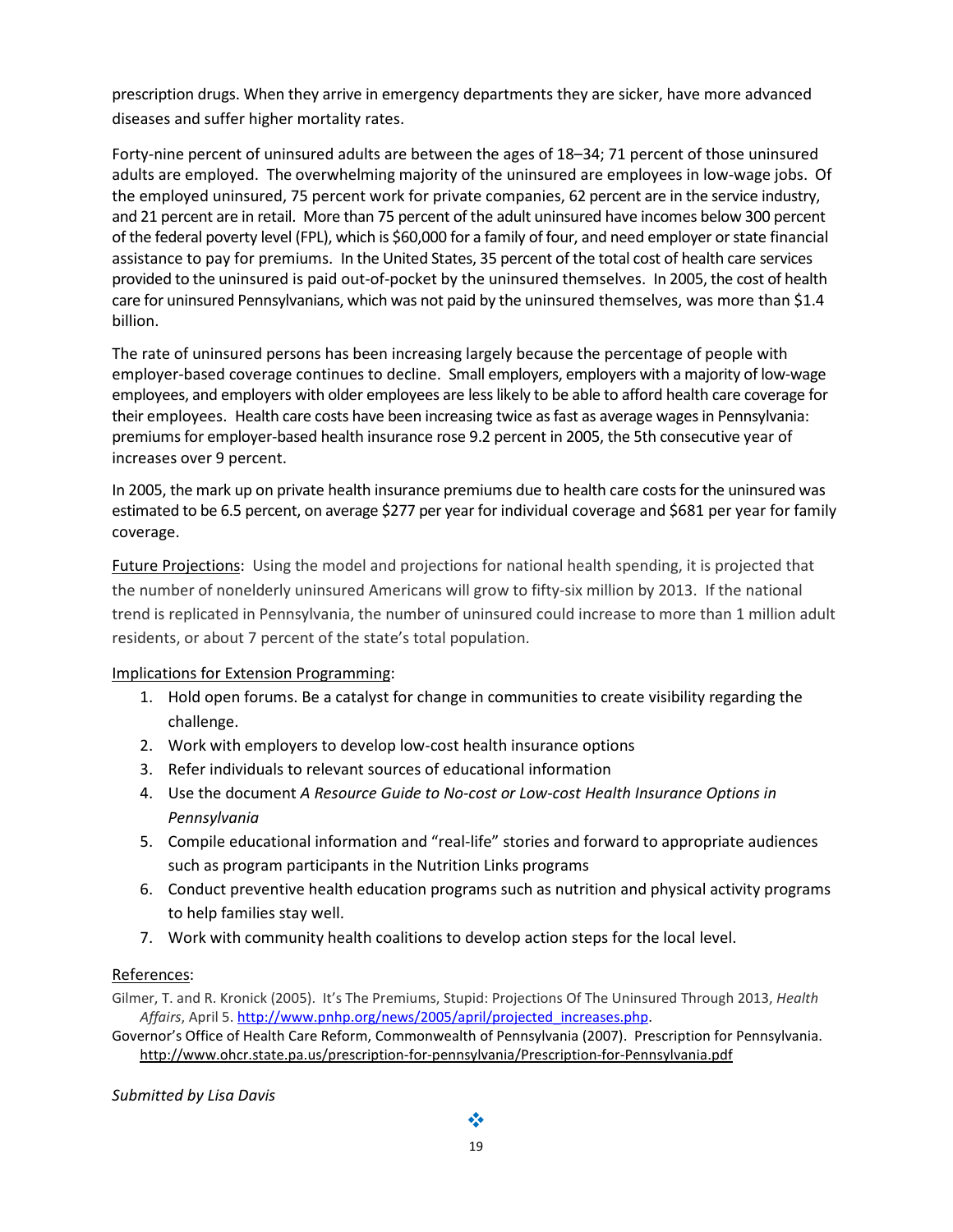prescription drugs. When they arrive in emergency departments they are sicker, have more advanced diseases and suffer higher mortality rates.

Forty-nine percent of uninsured adults are between the ages of 18–34; 71 percent of those uninsured adults are employed. The overwhelming majority of the uninsured are employees in low-wage jobs. Of the employed uninsured, 75 percent work for private companies, 62 percent are in the service industry, and 21 percent are in retail. More than 75 percent of the adult uninsured have incomes below 300 percent of the federal poverty level (FPL), which is \$60,000 for a family of four, and need employer or state financial assistance to pay for premiums. In the United States, 35 percent of the total cost of health care services provided to the uninsured is paid out-of-pocket by the uninsured themselves. In 2005, the cost of health care for uninsured Pennsylvanians, which was not paid by the uninsured themselves, was more than \$1.4 billion.

The rate of uninsured persons has been increasing largely because the percentage of people with employer-based coverage continues to decline. Small employers, employers with a majority of low-wage employees, and employers with older employees are less likely to be able to afford health care coverage for their employees. Health care costs have been increasing twice as fast as average wages in Pennsylvania: premiums for employer-based health insurance rose 9.2 percent in 2005, the 5th consecutive year of increases over 9 percent.

In 2005, the mark up on private health insurance premiums due to health care costs for the uninsured was estimated to be 6.5 percent, on average \$277 per year for individual coverage and \$681 per year for family coverage.

Future Projections: Using the model and projections for national health spending, it is projected that the number of nonelderly uninsured Americans will grow to fifty-six million by 2013. If the national trend is replicated in Pennsylvania, the number of uninsured could increase to more than 1 million adult residents, or about 7 percent of the state's total population.

### Implications for Extension Programming:

- 1. Hold open forums. Be a catalyst for change in communities to create visibility regarding the challenge.
- 2. Work with employers to develop low-cost health insurance options
- 3. Refer individuals to relevant sources of educational information
- 4. Use the document A Resource Guide to No-cost or Low-cost Health Insurance Options in Pennsylvania
- 5. Compile educational information and "real-life" stories and forward to appropriate audiences such as program participants in the Nutrition Links programs
- 6. Conduct preventive health education programs such as nutrition and physical activity programs to help families stay well.
- 7. Work with community health coalitions to develop action steps for the local level.

## References:

Gilmer, T. and R. Kronick (2005). It's The Premiums, Stupid: Projections Of The Uninsured Through 2013, Health Affairs, April 5. http://www.pnhp.org/news/2005/april/projected\_increases.php.

Governor's Office of Health Care Reform, Commonwealth of Pennsylvania (2007). Prescription for Pennsylvania. http://www.ohcr.state.pa.us/prescription-for-pennsylvania/Prescription-for-Pennsylvania.pdf

Submitted by Lisa Davis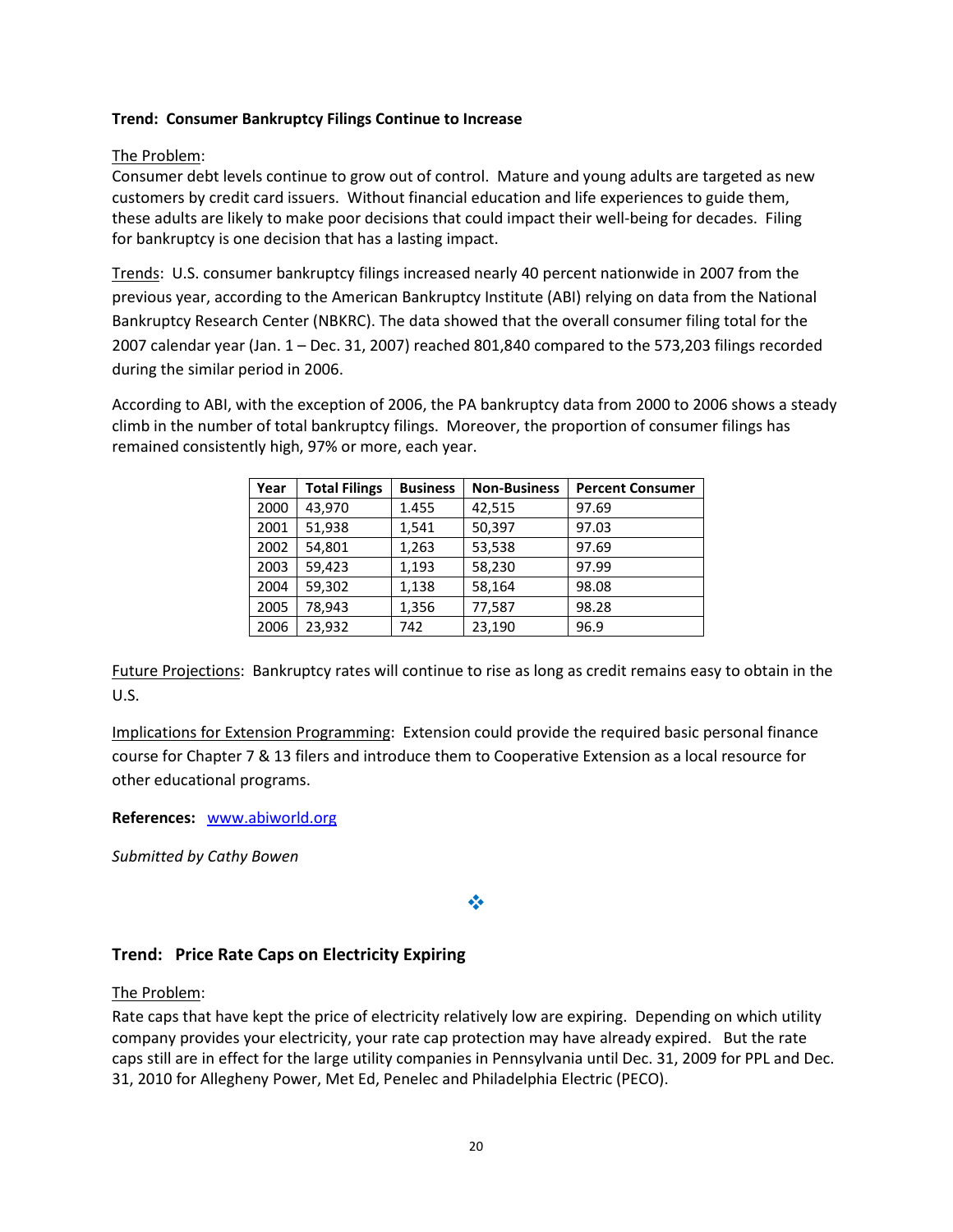## Trend: Consumer Bankruptcy Filings Continue to Increase

## The Problem:

Consumer debt levels continue to grow out of control. Mature and young adults are targeted as new customers by credit card issuers. Without financial education and life experiences to guide them, these adults are likely to make poor decisions that could impact their well-being for decades. Filing for bankruptcy is one decision that has a lasting impact.

Trends: U.S. consumer bankruptcy filings increased nearly 40 percent nationwide in 2007 from the previous year, according to the American Bankruptcy Institute (ABI) relying on data from the National Bankruptcy Research Center (NBKRC). The data showed that the overall consumer filing total for the 2007 calendar year (Jan. 1 – Dec. 31, 2007) reached 801,840 compared to the 573,203 filings recorded during the similar period in 2006.

According to ABI, with the exception of 2006, the PA bankruptcy data from 2000 to 2006 shows a steady climb in the number of total bankruptcy filings. Moreover, the proportion of consumer filings has remained consistently high, 97% or more, each year.

| Year | <b>Total Filings</b> | <b>Business</b> | <b>Non-Business</b> | <b>Percent Consumer</b> |
|------|----------------------|-----------------|---------------------|-------------------------|
| 2000 | 43,970               | 1.455           | 42,515              | 97.69                   |
| 2001 | 51,938               | 1,541           | 50,397              | 97.03                   |
| 2002 | 54,801               | 1,263           | 53,538              | 97.69                   |
| 2003 | 59,423               | 1,193           | 58,230              | 97.99                   |
| 2004 | 59,302               | 1,138           | 58,164              | 98.08                   |
| 2005 | 78,943               | 1,356           | 77,587              | 98.28                   |
| 2006 | 23,932               | 742             | 23,190              | 96.9                    |

Future Projections: Bankruptcy rates will continue to rise as long as credit remains easy to obtain in the U.S.

Implications for Extension Programming: Extension could provide the required basic personal finance course for Chapter 7 & 13 filers and introduce them to Cooperative Extension as a local resource for other educational programs.

References: www.abiworld.org

Submitted by Cathy Bowen

## $\frac{1}{2}$

## Trend: Price Rate Caps on Electricity Expiring

The Problem:

Rate caps that have kept the price of electricity relatively low are expiring. Depending on which utility company provides your electricity, your rate cap protection may have already expired. But the rate caps still are in effect for the large utility companies in Pennsylvania until Dec. 31, 2009 for PPL and Dec. 31, 2010 for Allegheny Power, Met Ed, Penelec and Philadelphia Electric (PECO).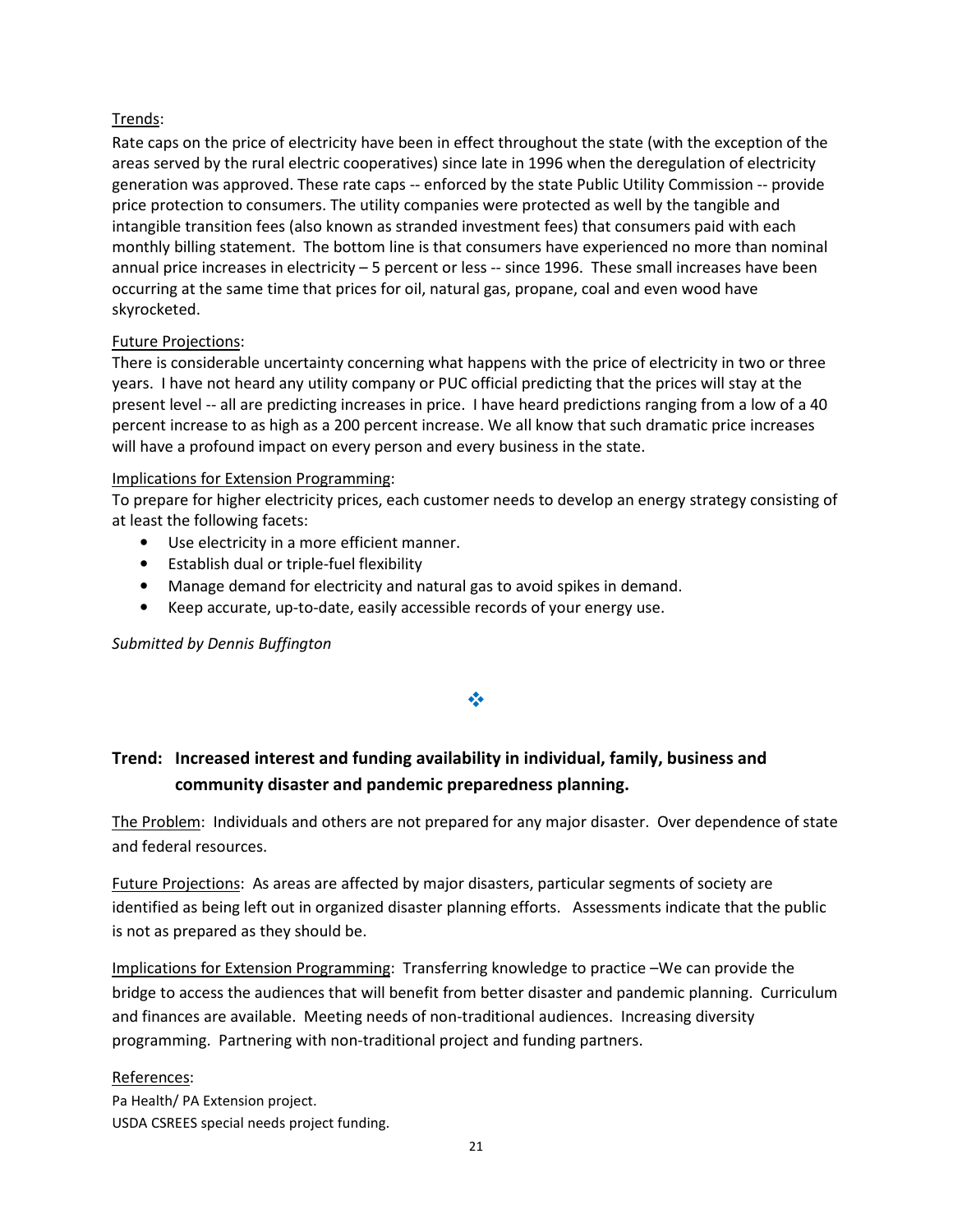## Trends:

Rate caps on the price of electricity have been in effect throughout the state (with the exception of the areas served by the rural electric cooperatives) since late in 1996 when the deregulation of electricity generation was approved. These rate caps -- enforced by the state Public Utility Commission -- provide price protection to consumers. The utility companies were protected as well by the tangible and intangible transition fees (also known as stranded investment fees) that consumers paid with each monthly billing statement. The bottom line is that consumers have experienced no more than nominal annual price increases in electricity – 5 percent or less -- since 1996. These small increases have been occurring at the same time that prices for oil, natural gas, propane, coal and even wood have skyrocketed.

## Future Projections:

There is considerable uncertainty concerning what happens with the price of electricity in two or three years. I have not heard any utility company or PUC official predicting that the prices will stay at the present level -- all are predicting increases in price. I have heard predictions ranging from a low of a 40 percent increase to as high as a 200 percent increase. We all know that such dramatic price increases will have a profound impact on every person and every business in the state.

### Implications for Extension Programming:

To prepare for higher electricity prices, each customer needs to develop an energy strategy consisting of at least the following facets:

- Use electricity in a more efficient manner.
- Establish dual or triple-fuel flexibility
- Manage demand for electricity and natural gas to avoid spikes in demand.
- Keep accurate, up-to-date, easily accessible records of your energy use.

Submitted by Dennis Buffington

## 豪

# Trend: Increased interest and funding availability in individual, family, business and community disaster and pandemic preparedness planning.

The Problem: Individuals and others are not prepared for any major disaster. Over dependence of state and federal resources.

Future Projections: As areas are affected by major disasters, particular segments of society are identified as being left out in organized disaster planning efforts. Assessments indicate that the public is not as prepared as they should be.

Implications for Extension Programming: Transferring knowledge to practice –We can provide the bridge to access the audiences that will benefit from better disaster and pandemic planning. Curriculum and finances are available. Meeting needs of non-traditional audiences. Increasing diversity programming. Partnering with non-traditional project and funding partners.

### References:

Pa Health/ PA Extension project. USDA CSREES special needs project funding.